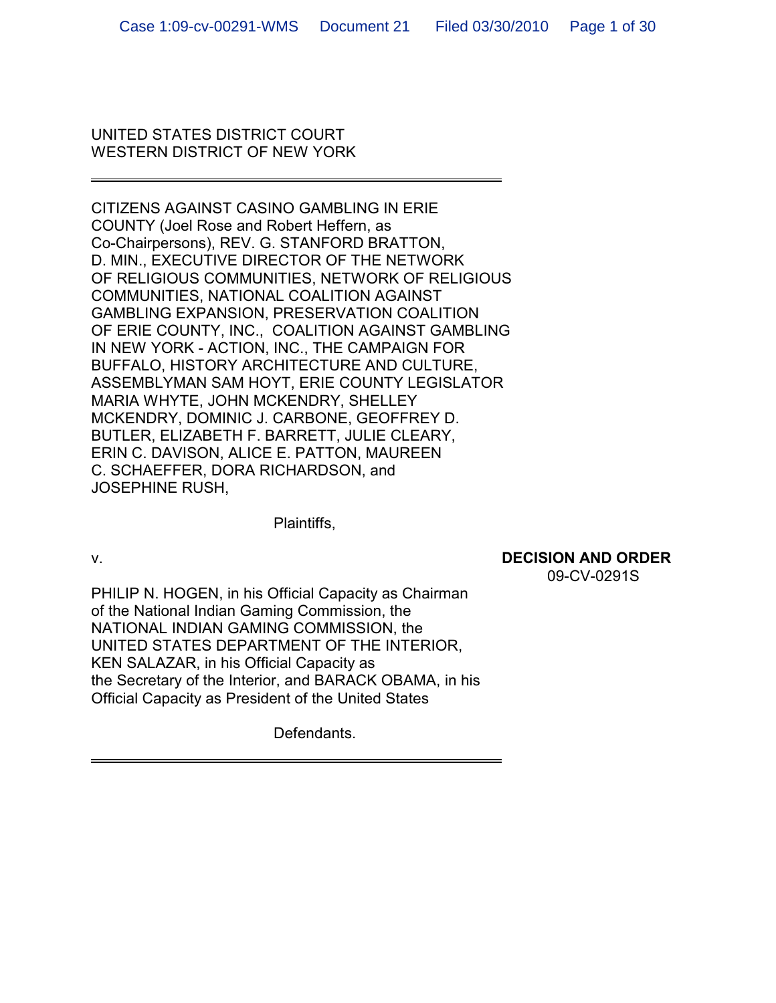## UNITED STATES DISTRICT COURT WESTERN DISTRICT OF NEW YORK

CITIZENS AGAINST CASINO GAMBLING IN ERIE COUNTY (Joel Rose and Robert Heffern, as Co-Chairpersons), REV. G. STANFORD BRATTON, D. MIN., EXECUTIVE DIRECTOR OF THE NETWORK OF RELIGIOUS COMMUNITIES, NETWORK OF RELIGIOUS COMMUNITIES, NATIONAL COALITION AGAINST GAMBLING EXPANSION, PRESERVATION COALITION OF ERIE COUNTY, INC., COALITION AGAINST GAMBLING IN NEW YORK - ACTION, INC., THE CAMPAIGN FOR BUFFALO, HISTORY ARCHITECTURE AND CULTURE, ASSEMBLYMAN SAM HOYT, ERIE COUNTY LEGISLATOR MARIA WHYTE, JOHN MCKENDRY, SHELLEY MCKENDRY, DOMINIC J. CARBONE, GEOFFREY D. BUTLER, ELIZABETH F. BARRETT, JULIE CLEARY, ERIN C. DAVISON, ALICE E. PATTON, MAUREEN C. SCHAEFFER, DORA RICHARDSON, and JOSEPHINE RUSH,

Plaintiffs,

## v. **DECISION AND ORDER**

09-CV-0291S

PHILIP N. HOGEN, in his Official Capacity as Chairman of the National Indian Gaming Commission, the NATIONAL INDIAN GAMING COMMISSION, the UNITED STATES DEPARTMENT OF THE INTERIOR, KEN SALAZAR, in his Official Capacity as the Secretary of the Interior, and BARACK OBAMA, in his Official Capacity as President of the United States

Defendants.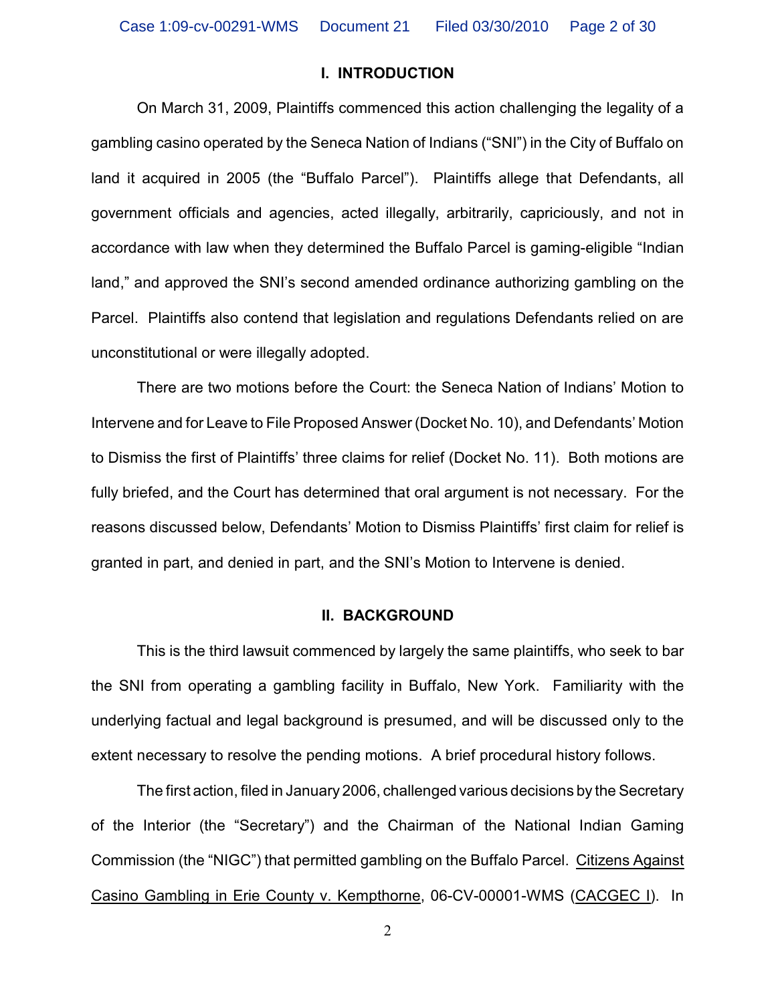### **I. INTRODUCTION**

On March 31, 2009, Plaintiffs commenced this action challenging the legality of a gambling casino operated by the Seneca Nation of Indians ("SNI") in the City of Buffalo on land it acquired in 2005 (the "Buffalo Parcel"). Plaintiffs allege that Defendants, all government officials and agencies, acted illegally, arbitrarily, capriciously, and not in accordance with law when they determined the Buffalo Parcel is gaming-eligible "Indian land," and approved the SNI's second amended ordinance authorizing gambling on the Parcel. Plaintiffs also contend that legislation and regulations Defendants relied on are unconstitutional or were illegally adopted.

There are two motions before the Court: the Seneca Nation of Indians' Motion to Intervene and for Leave to File Proposed Answer (Docket No. 10), and Defendants' Motion to Dismiss the first of Plaintiffs' three claims for relief (Docket No. 11). Both motions are fully briefed, and the Court has determined that oral argument is not necessary. For the reasons discussed below, Defendants' Motion to Dismiss Plaintiffs' first claim for relief is granted in part, and denied in part, and the SNI's Motion to Intervene is denied.

### **II. BACKGROUND**

This is the third lawsuit commenced by largely the same plaintiffs, who seek to bar the SNI from operating a gambling facility in Buffalo, New York. Familiarity with the underlying factual and legal background is presumed, and will be discussed only to the extent necessary to resolve the pending motions. A brief procedural history follows.

The first action, filed in January 2006, challenged various decisions by the Secretary of the Interior (the "Secretary") and the Chairman of the National Indian Gaming Commission (the "NIGC") that permitted gambling on the Buffalo Parcel. Citizens Against Casino Gambling in Erie County v. Kempthorne, 06-CV-00001-WMS (CACGEC I). In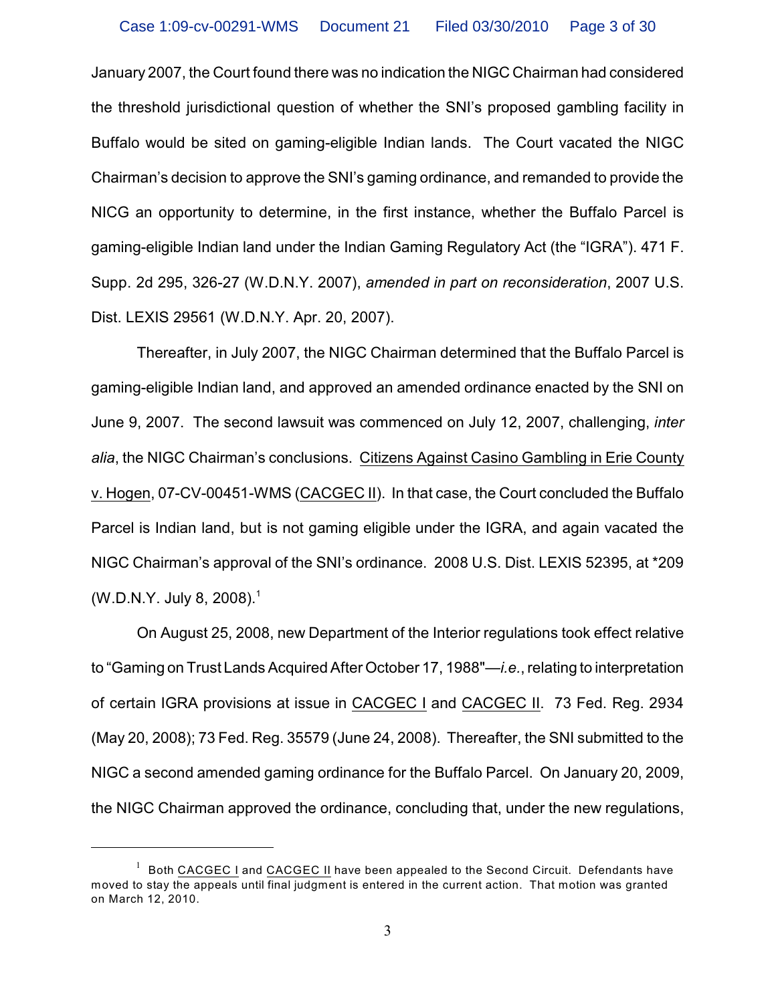January 2007, the Court found there was no indication the NIGC Chairman had considered the threshold jurisdictional question of whether the SNI's proposed gambling facility in Buffalo would be sited on gaming-eligible Indian lands. The Court vacated the NIGC Chairman's decision to approve the SNI's gaming ordinance, and remanded to provide the NICG an opportunity to determine, in the first instance, whether the Buffalo Parcel is gaming-eligible Indian land under the Indian Gaming Regulatory Act (the "IGRA"). 471 F. Supp. 2d 295, 326-27 (W.D.N.Y. 2007), *amended in part on reconsideration*, 2007 U.S. Dist. LEXIS 29561 (W.D.N.Y. Apr. 20, 2007).

Thereafter, in July 2007, the NIGC Chairman determined that the Buffalo Parcel is gaming-eligible Indian land, and approved an amended ordinance enacted by the SNI on June 9, 2007. The second lawsuit was commenced on July 12, 2007, challenging, *inter alia*, the NIGC Chairman's conclusions. Citizens Against Casino Gambling in Erie County v. Hogen, 07-CV-00451-WMS (CACGEC II). In that case, the Court concluded the Buffalo Parcel is Indian land, but is not gaming eligible under the IGRA, and again vacated the NIGC Chairman's approval of the SNI's ordinance. 2008 U.S. Dist. LEXIS 52395, at \*209 (W.D.N.Y. July 8, 2008).<sup>1</sup>

On August 25, 2008, new Department of the Interior regulations took effect relative to "Gaming on Trust Lands Acquired After October 17, 1988"—*i.e.*, relating to interpretation of certain IGRA provisions at issue in CACGEC I and CACGEC II. 73 Fed. Reg. 2934 (May 20, 2008); 73 Fed. Reg. 35579 (June 24, 2008). Thereafter, the SNI submitted to the NIGC a second amended gaming ordinance for the Buffalo Parcel. On January 20, 2009, the NIGC Chairman approved the ordinance, concluding that, under the new regulations,

 $1$  Both CACGEC I and CACGEC II have been appealed to the Second Circuit. Defendants have moved to stay the appeals until final judgment is entered in the current action. That motion was granted on March 12, 2010.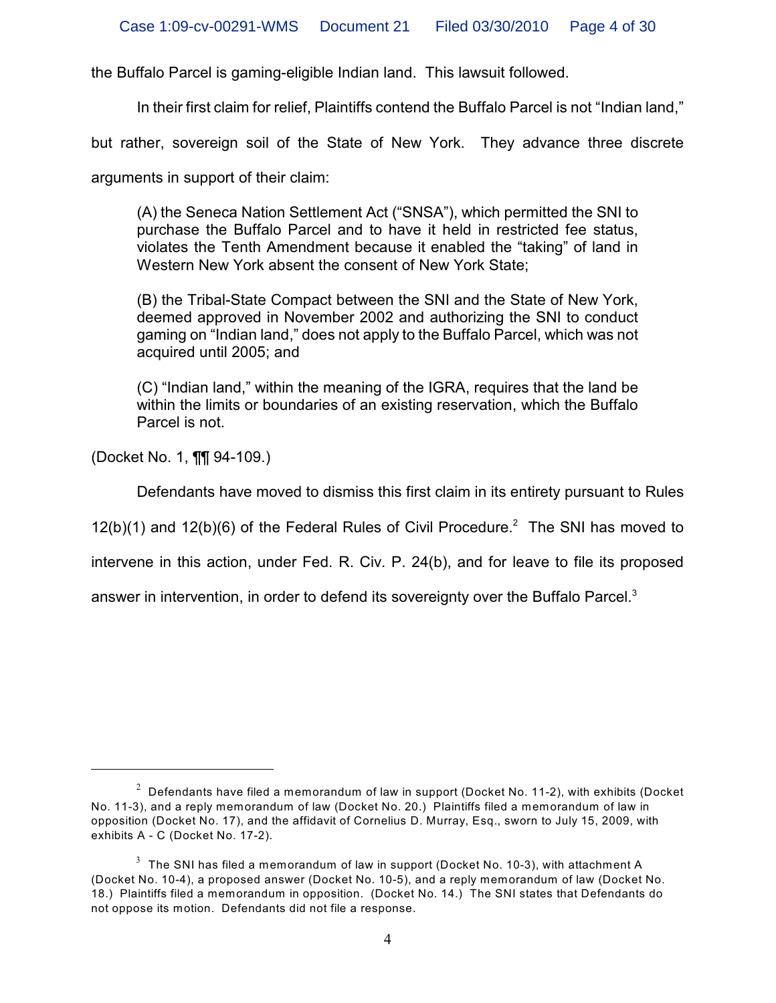the Buffalo Parcel is gaming-eligible Indian land. This lawsuit followed.

In their first claim for relief, Plaintiffs contend the Buffalo Parcel is not "Indian land,"

but rather, sovereign soil of the State of New York. They advance three discrete

arguments in support of their claim:

(A) the Seneca Nation Settlement Act ("SNSA"), which permitted the SNI to purchase the Buffalo Parcel and to have it held in restricted fee status, violates the Tenth Amendment because it enabled the "taking" of land in Western New York absent the consent of New York State;

(B) the Tribal-State Compact between the SNI and the State of New York, deemed approved in November 2002 and authorizing the SNI to conduct gaming on "Indian land," does not apply to the Buffalo Parcel, which was not acquired until 2005; and

(C) "Indian land," within the meaning of the IGRA, requires that the land be within the limits or boundaries of an existing reservation, which the Buffalo Parcel is not.

(Docket No. 1, ¶¶ 94-109.)

Defendants have moved to dismiss this first claim in its entirety pursuant to Rules

 $12(b)(1)$  and  $12(b)(6)$  of the Federal Rules of Civil Procedure.<sup>2</sup> The SNI has moved to

intervene in this action, under Fed. R. Civ. P. 24(b), and for leave to file its proposed

answer in intervention, in order to defend its sovereignty over the Buffalo Parcel.<sup>3</sup>

 $^{\rm 2}$  Defendants have filed a memorandum of law in support (Docket No. 11-2), with exhibits (Docket No. 11-3), and a reply memorandum of law (Docket No. 20.) Plaintiffs filed a memorandum of law in opposition (Docket No. 17), and the affidavit of Cornelius D. Murray, Esq., sworn to July 15, 2009, with exhibits A - C (Docket No. 17-2).

 $^3$  The SNI has filed a memorandum of law in support (Docket No. 10-3), with attachment A (Docket No. 10-4), a proposed answer (Docket No. 10-5), and a reply memorandum of law (Docket No. 18.) Plaintiffs filed a memorandum in opposition. (Docket No. 14.) The SNI states that Defendants do not oppose its motion. Defendants did not file a response.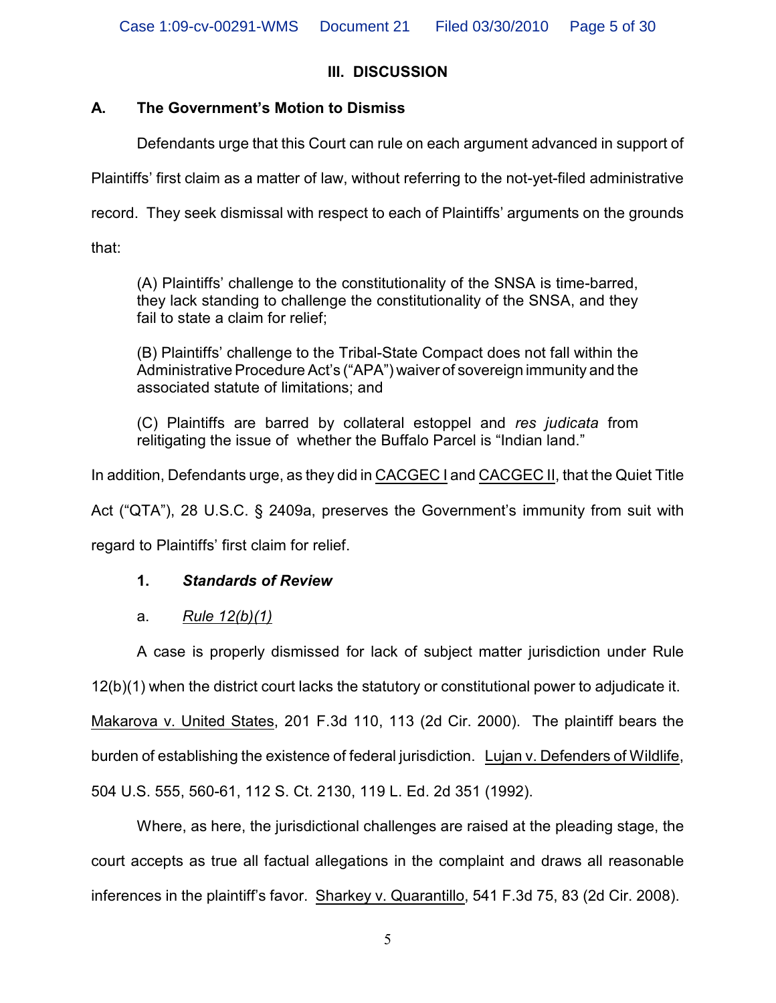# **III. DISCUSSION**

# **A. The Government's Motion to Dismiss**

Defendants urge that this Court can rule on each argument advanced in support of

Plaintiffs' first claim as a matter of law, without referring to the not-yet-filed administrative

record. They seek dismissal with respect to each of Plaintiffs' arguments on the grounds

that:

(A) Plaintiffs' challenge to the constitutionality of the SNSA is time-barred, they lack standing to challenge the constitutionality of the SNSA, and they fail to state a claim for relief;

(B) Plaintiffs' challenge to the Tribal-State Compact does not fall within the Administrative Procedure Act's ("APA") waiver of sovereign immunity and the associated statute of limitations; and

(C) Plaintiffs are barred by collateral estoppel and *res judicata* from relitigating the issue of whether the Buffalo Parcel is "Indian land."

In addition, Defendants urge, as they did in CACGEC I and CACGEC II, that the Quiet Title

Act ("QTA"), 28 U.S.C. § 2409a, preserves the Government's immunity from suit with

regard to Plaintiffs' first claim for relief.

# **1.** *Standards of Review*

# a. *Rule 12(b)(1)*

A case is properly dismissed for lack of subject matter jurisdiction under Rule 12(b)(1) when the district court lacks the statutory or constitutional power to adjudicate it. Makarova v. United States, 201 F.3d 110, 113 (2d Cir. 2000). The plaintiff bears the burden of establishing the existence of federal jurisdiction. Lujan v. Defenders of Wildlife, 504 U.S. 555, 560-61, 112 S. Ct. 2130, 119 L. Ed. 2d 351 (1992).

Where, as here, the jurisdictional challenges are raised at the pleading stage, the court accepts as true all factual allegations in the complaint and draws all reasonable inferences in the plaintiff's favor. Sharkey v. Quarantillo, 541 F.3d 75, 83 (2d Cir. 2008).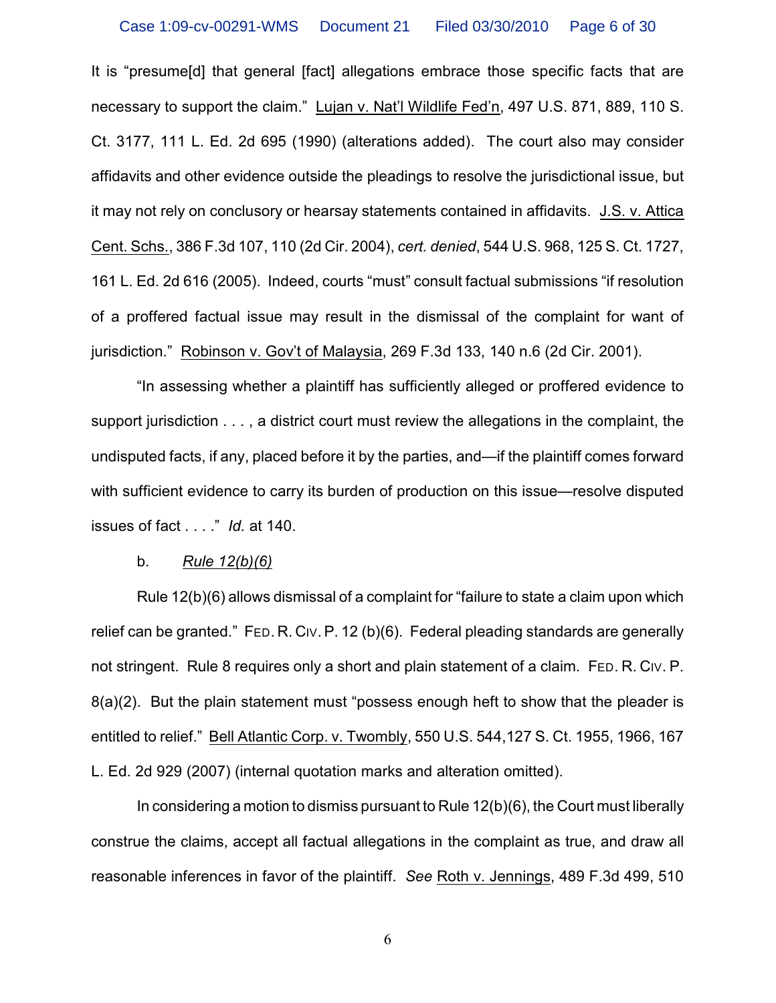It is "presume [d] that general [fact] allegations embrace those specific facts that are necessary to support the claim." Lujan v. Nat'l Wildlife Fed'n, 497 U.S. 871, 889, 110 S. Ct. 3177, 111 L. Ed. 2d 695 (1990) (alterations added). The court also may consider affidavits and other evidence outside the pleadings to resolve the jurisdictional issue, but it may not rely on conclusory or hearsay statements contained in affidavits. J.S. v. Attica Cent. Schs., 386 F.3d 107, 110 (2d Cir. 2004), *cert. denied*, 544 U.S. 968, 125 S. Ct. 1727, 161 L. Ed. 2d 616 (2005). Indeed, courts "must" consult factual submissions "if resolution of a proffered factual issue may result in the dismissal of the complaint for want of jurisdiction." Robinson v. Gov't of Malaysia, 269 F.3d 133, 140 n.6 (2d Cir. 2001).

"In assessing whether a plaintiff has sufficiently alleged or proffered evidence to support jurisdiction . . . , a district court must review the allegations in the complaint, the undisputed facts, if any, placed before it by the parties, and—if the plaintiff comes forward with sufficient evidence to carry its burden of production on this issue—resolve disputed issues of fact . . . ." *Id.* at 140.

#### b. *Rule 12(b)(6)*

Rule 12(b)(6) allows dismissal of a complaint for "failure to state a claim upon which relief can be granted." FED. R. CIV. P. 12 (b)(6). Federal pleading standards are generally not stringent. Rule 8 requires only a short and plain statement of a claim. FED. R. CIV. P. 8(a)(2). But the plain statement must "possess enough heft to show that the pleader is entitled to relief." Bell Atlantic Corp. v. Twombly, 550 U.S. 544,127 S. Ct. 1955, 1966, 167 L. Ed. 2d 929 (2007) (internal quotation marks and alteration omitted).

In considering a motion to dismiss pursuant to Rule 12(b)(6), the Court must liberally construe the claims, accept all factual allegations in the complaint as true, and draw all reasonable inferences in favor of the plaintiff. *See* Roth v. Jennings, 489 F.3d 499, 510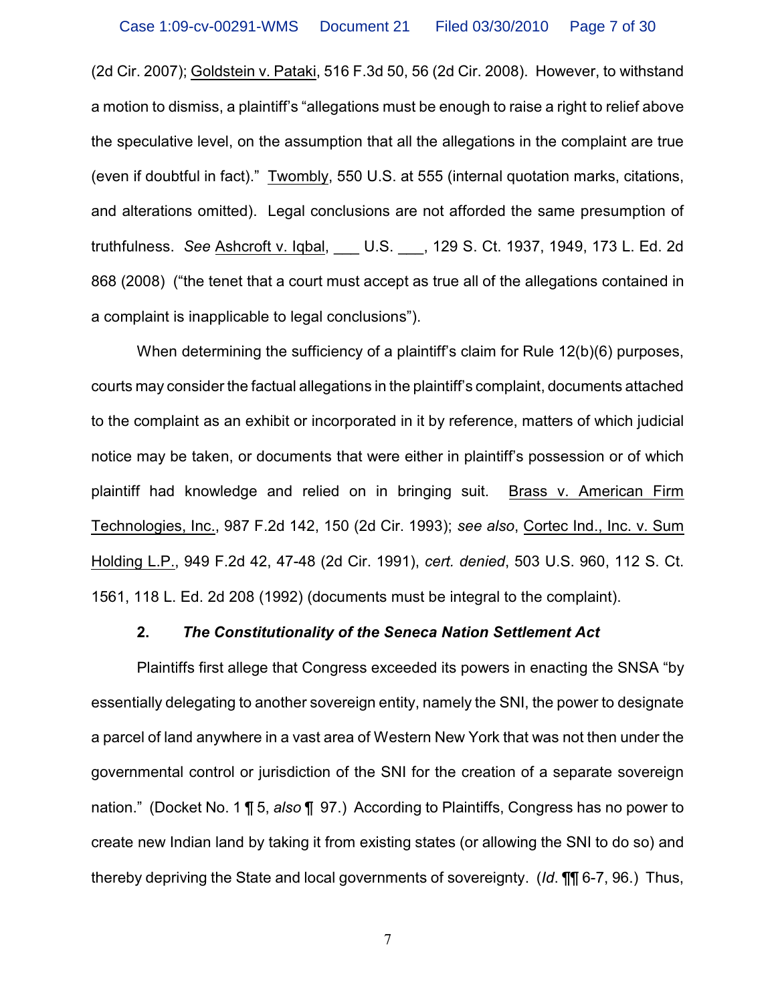(2d Cir. 2007); Goldstein v. Pataki, 516 F.3d 50, 56 (2d Cir. 2008). However, to withstand a motion to dismiss, a plaintiff's "allegations must be enough to raise a right to relief above the speculative level, on the assumption that all the allegations in the complaint are true (even if doubtful in fact)." Twombly, 550 U.S. at 555 (internal quotation marks, citations, and alterations omitted). Legal conclusions are not afforded the same presumption of truthfulness. *See* Ashcroft v. Iqbal, \_\_\_ U.S. \_\_\_, 129 S. Ct. 1937, 1949, 173 L. Ed. 2d 868 (2008) ("the tenet that a court must accept as true all of the allegations contained in a complaint is inapplicable to legal conclusions").

When determining the sufficiency of a plaintiff's claim for Rule 12(b)(6) purposes, courts may consider the factual allegations in the plaintiff's complaint, documents attached to the complaint as an exhibit or incorporated in it by reference, matters of which judicial notice may be taken, or documents that were either in plaintiff's possession or of which plaintiff had knowledge and relied on in bringing suit. Brass v. American Firm Technologies, Inc., 987 F.2d 142, 150 (2d Cir. 1993); *see also*, Cortec Ind., Inc. v. Sum Holding L.P., 949 F.2d 42, 47-48 (2d Cir. 1991), *cert. denied*, 503 U.S. 960, 112 S. Ct. 1561, 118 L. Ed. 2d 208 (1992) (documents must be integral to the complaint).

#### **2.** *The Constitutionality of the Seneca Nation Settlement Act*

Plaintiffs first allege that Congress exceeded its powers in enacting the SNSA "by essentially delegating to another sovereign entity, namely the SNI, the power to designate a parcel of land anywhere in a vast area of Western New York that was not then under the governmental control or jurisdiction of the SNI for the creation of a separate sovereign nation." (Docket No. 1 ¶ 5, *also* ¶ 97.) According to Plaintiffs, Congress has no power to create new Indian land by taking it from existing states (or allowing the SNI to do so) and thereby depriving the State and local governments of sovereignty. (*Id*. ¶¶ 6-7, 96.) Thus,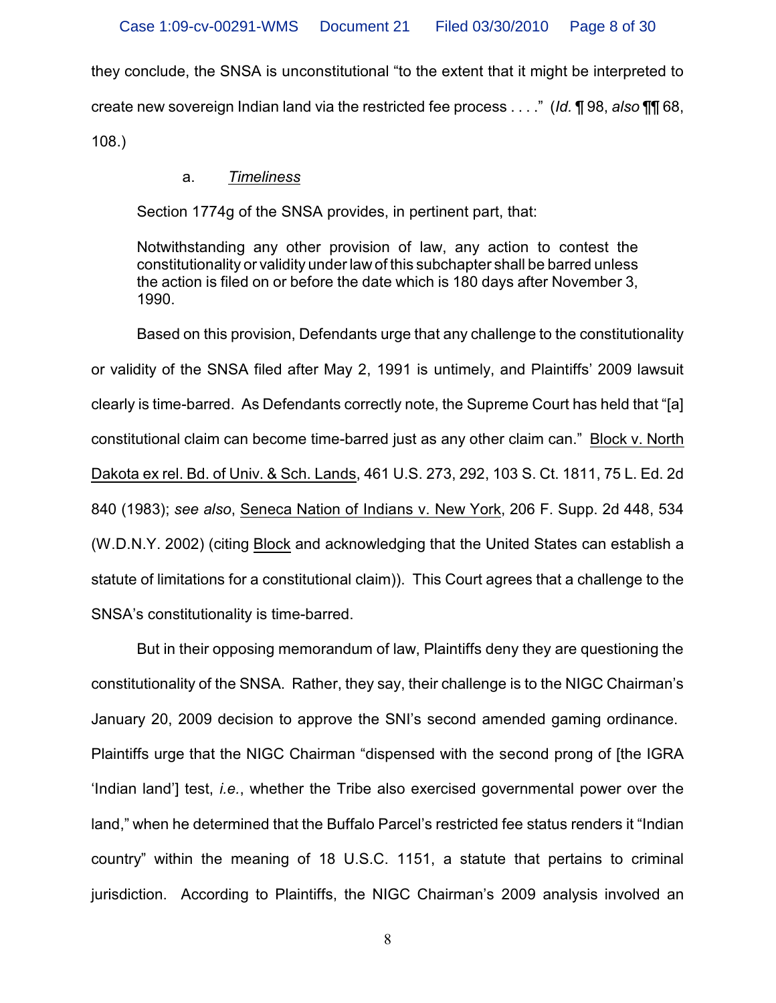they conclude, the SNSA is unconstitutional "to the extent that it might be interpreted to create new sovereign Indian land via the restricted fee process . . . ." (*Id.* ¶ 98, *also* ¶¶ 68, 108.)

### a. *Timeliness*

Section 1774g of the SNSA provides, in pertinent part, that:

Notwithstanding any other provision of law, any action to contest the constitutionality or validity under law of this subchapter shall be barred unless the action is filed on or before the date which is 180 days after November 3, 1990.

Based on this provision, Defendants urge that any challenge to the constitutionality or validity of the SNSA filed after May 2, 1991 is untimely, and Plaintiffs' 2009 lawsuit clearly is time-barred. As Defendants correctly note, the Supreme Court has held that "[a] constitutional claim can become time-barred just as any other claim can." Block v. North Dakota ex rel. Bd. of Univ. & Sch. Lands, 461 U.S. 273, 292, 103 S. Ct. 1811, 75 L. Ed. 2d 840 (1983); *see also*, Seneca Nation of Indians v. New York, 206 F. Supp. 2d 448, 534 (W.D.N.Y. 2002) (citing Block and acknowledging that the United States can establish a statute of limitations for a constitutional claim)). This Court agrees that a challenge to the SNSA's constitutionality is time-barred.

But in their opposing memorandum of law, Plaintiffs deny they are questioning the constitutionality of the SNSA. Rather, they say, their challenge is to the NIGC Chairman's January 20, 2009 decision to approve the SNI's second amended gaming ordinance. Plaintiffs urge that the NIGC Chairman "dispensed with the second prong of [the IGRA 'Indian land'] test, *i.e.*, whether the Tribe also exercised governmental power over the land," when he determined that the Buffalo Parcel's restricted fee status renders it "Indian country" within the meaning of 18 U.S.C. 1151, a statute that pertains to criminal jurisdiction. According to Plaintiffs, the NIGC Chairman's 2009 analysis involved an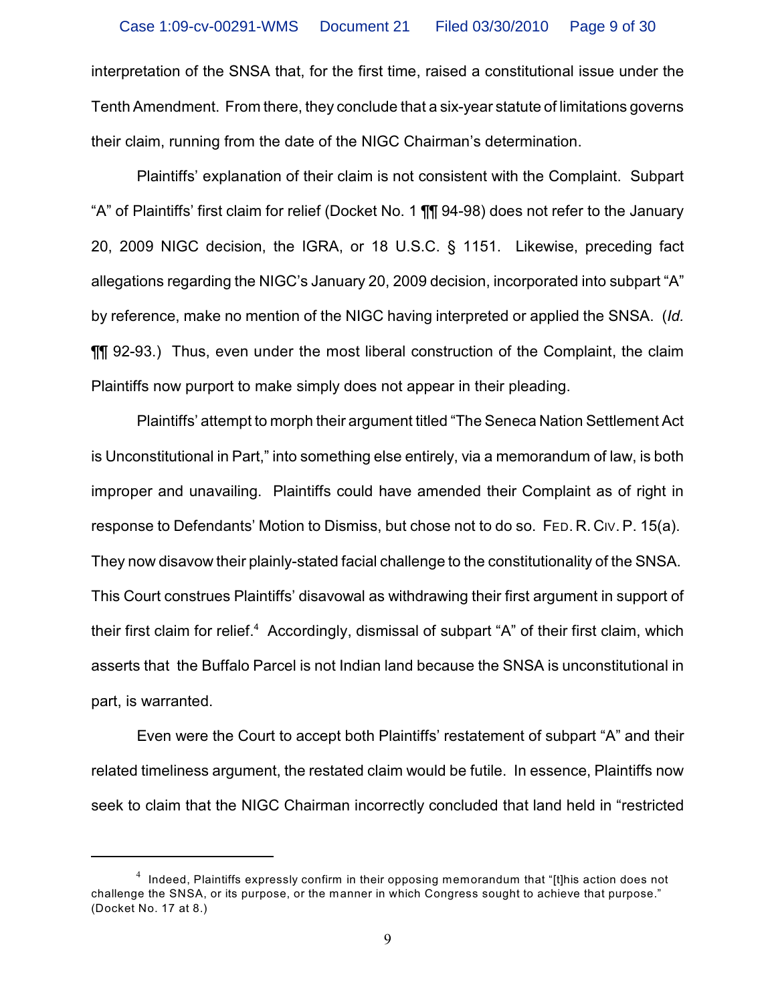interpretation of the SNSA that, for the first time, raised a constitutional issue under the Tenth Amendment. From there, they conclude that a six-year statute of limitations governs their claim, running from the date of the NIGC Chairman's determination.

Plaintiffs' explanation of their claim is not consistent with the Complaint. Subpart "A" of Plaintiffs' first claim for relief (Docket No. 1 ¶¶ 94-98) does not refer to the January 20, 2009 NIGC decision, the IGRA, or 18 U.S.C. § 1151. Likewise, preceding fact allegations regarding the NIGC's January 20, 2009 decision, incorporated into subpart "A" by reference, make no mention of the NIGC having interpreted or applied the SNSA. (*Id.* ¶¶ 92-93.) Thus, even under the most liberal construction of the Complaint, the claim Plaintiffs now purport to make simply does not appear in their pleading.

Plaintiffs' attempt to morph their argument titled "The Seneca Nation Settlement Act is Unconstitutional in Part," into something else entirely, via a memorandum of law, is both improper and unavailing. Plaintiffs could have amended their Complaint as of right in response to Defendants' Motion to Dismiss, but chose not to do so. FED. R. CIV.P. 15(a). They now disavow their plainly-stated facial challenge to the constitutionality of the SNSA. This Court construes Plaintiffs' disavowal as withdrawing their first argument in support of their first claim for relief.<sup>4</sup> Accordingly, dismissal of subpart "A" of their first claim, which asserts that the Buffalo Parcel is not Indian land because the SNSA is unconstitutional in part, is warranted.

Even were the Court to accept both Plaintiffs' restatement of subpart "A" and their related timeliness argument, the restated claim would be futile. In essence, Plaintiffs now seek to claim that the NIGC Chairman incorrectly concluded that land held in "restricted

 $^4\;$  Indeed, Plaintiffs expressly confirm in their opposing memorandum that "[t]his action does not challenge the SNSA, or its purpose, or the manner in which Congress sought to achieve that purpose." (Docket No. 17 at 8.)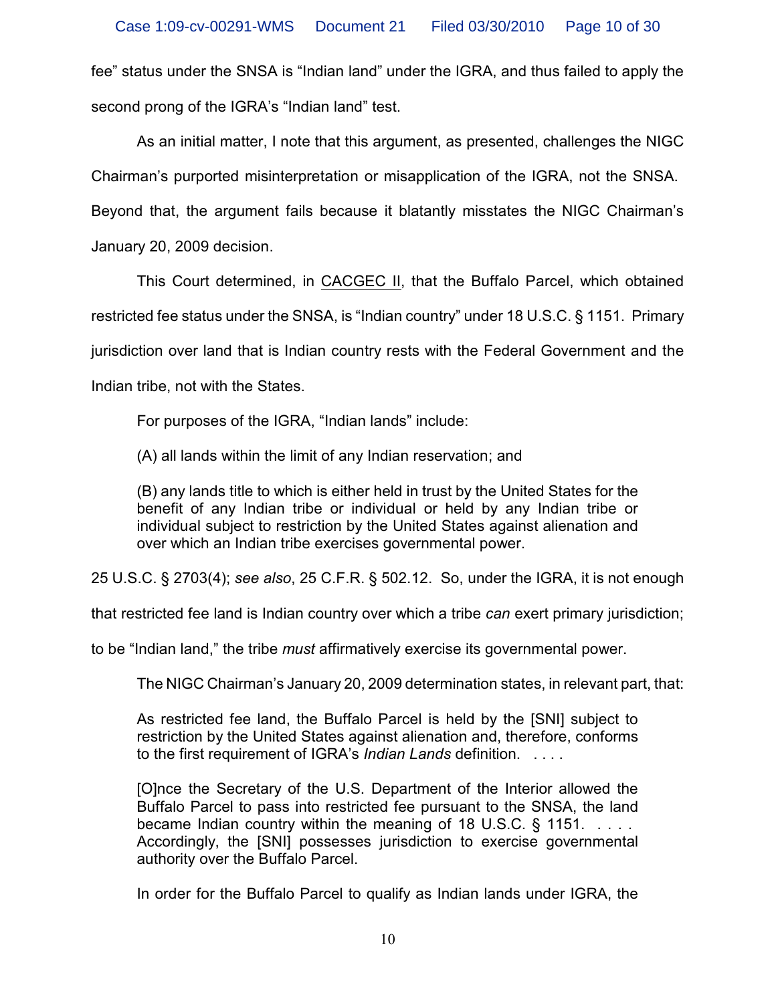fee" status under the SNSA is "Indian land" under the IGRA, and thus failed to apply the second prong of the IGRA's "Indian land" test.

As an initial matter, I note that this argument, as presented, challenges the NIGC Chairman's purported misinterpretation or misapplication of the IGRA, not the SNSA. Beyond that, the argument fails because it blatantly misstates the NIGC Chairman's January 20, 2009 decision.

This Court determined, in CACGEC II, that the Buffalo Parcel, which obtained restricted fee status under the SNSA, is "Indian country" under 18 U.S.C. § 1151. Primary jurisdiction over land that is Indian country rests with the Federal Government and the Indian tribe, not with the States.

For purposes of the IGRA, "Indian lands" include:

(A) all lands within the limit of any Indian reservation; and

(B) any lands title to which is either held in trust by the United States for the benefit of any Indian tribe or individual or held by any Indian tribe or individual subject to restriction by the United States against alienation and over which an Indian tribe exercises governmental power.

25 U.S.C. § 2703(4); *see also*, 25 C.F.R. § 502.12. So, under the IGRA, it is not enough

that restricted fee land is Indian country over which a tribe *can* exert primary jurisdiction;

to be "Indian land," the tribe *must* affirmatively exercise its governmental power.

The NIGC Chairman's January 20, 2009 determination states, in relevant part, that:

As restricted fee land, the Buffalo Parcel is held by the [SNI] subject to restriction by the United States against alienation and, therefore, conforms to the first requirement of IGRA's *Indian Lands* definition. . . . .

[O]nce the Secretary of the U.S. Department of the Interior allowed the Buffalo Parcel to pass into restricted fee pursuant to the SNSA, the land became Indian country within the meaning of 18 U.S.C.  $\S$  1151. ... Accordingly, the [SNI] possesses jurisdiction to exercise governmental authority over the Buffalo Parcel.

In order for the Buffalo Parcel to qualify as Indian lands under IGRA, the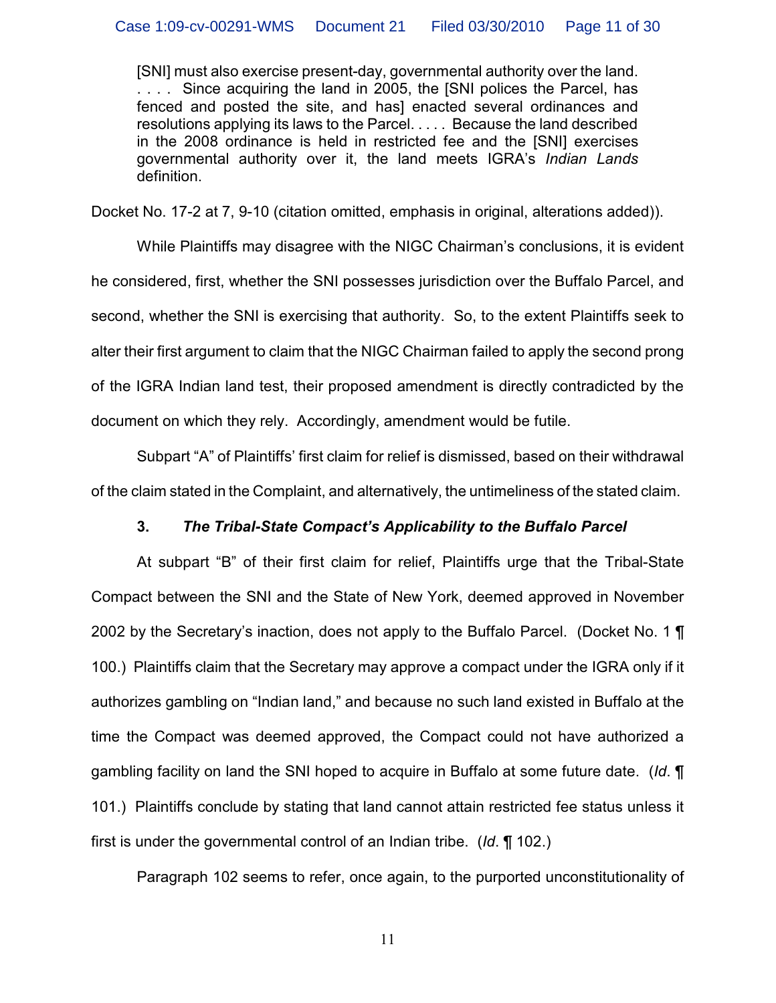[SNI] must also exercise present-day, governmental authority over the land. . . . . Since acquiring the land in 2005, the [SNI polices the Parcel, has fenced and posted the site, and has] enacted several ordinances and resolutions applying its laws to the Parcel. . . . . Because the land described in the 2008 ordinance is held in restricted fee and the [SNI] exercises governmental authority over it, the land meets IGRA's *Indian Lands* definition.

Docket No. 17-2 at 7, 9-10 (citation omitted, emphasis in original, alterations added)).

While Plaintiffs may disagree with the NIGC Chairman's conclusions, it is evident he considered, first, whether the SNI possesses jurisdiction over the Buffalo Parcel, and second, whether the SNI is exercising that authority. So, to the extent Plaintiffs seek to alter their first argument to claim that the NIGC Chairman failed to apply the second prong of the IGRA Indian land test, their proposed amendment is directly contradicted by the document on which they rely. Accordingly, amendment would be futile.

Subpart "A" of Plaintiffs' first claim for relief is dismissed, based on their withdrawal of the claim stated in the Complaint, and alternatively, the untimeliness of the stated claim.

## **3.** *The Tribal-State Compact's Applicability to the Buffalo Parcel*

At subpart "B" of their first claim for relief, Plaintiffs urge that the Tribal-State Compact between the SNI and the State of New York, deemed approved in November 2002 by the Secretary's inaction, does not apply to the Buffalo Parcel. (Docket No. 1  $\P$ 100.) Plaintiffs claim that the Secretary may approve a compact under the IGRA only if it authorizes gambling on "Indian land," and because no such land existed in Buffalo at the time the Compact was deemed approved, the Compact could not have authorized a gambling facility on land the SNI hoped to acquire in Buffalo at some future date. (*Id*. ¶ 101.) Plaintiffs conclude by stating that land cannot attain restricted fee status unless it first is under the governmental control of an Indian tribe. (*Id*. ¶ 102.)

Paragraph 102 seems to refer, once again, to the purported unconstitutionality of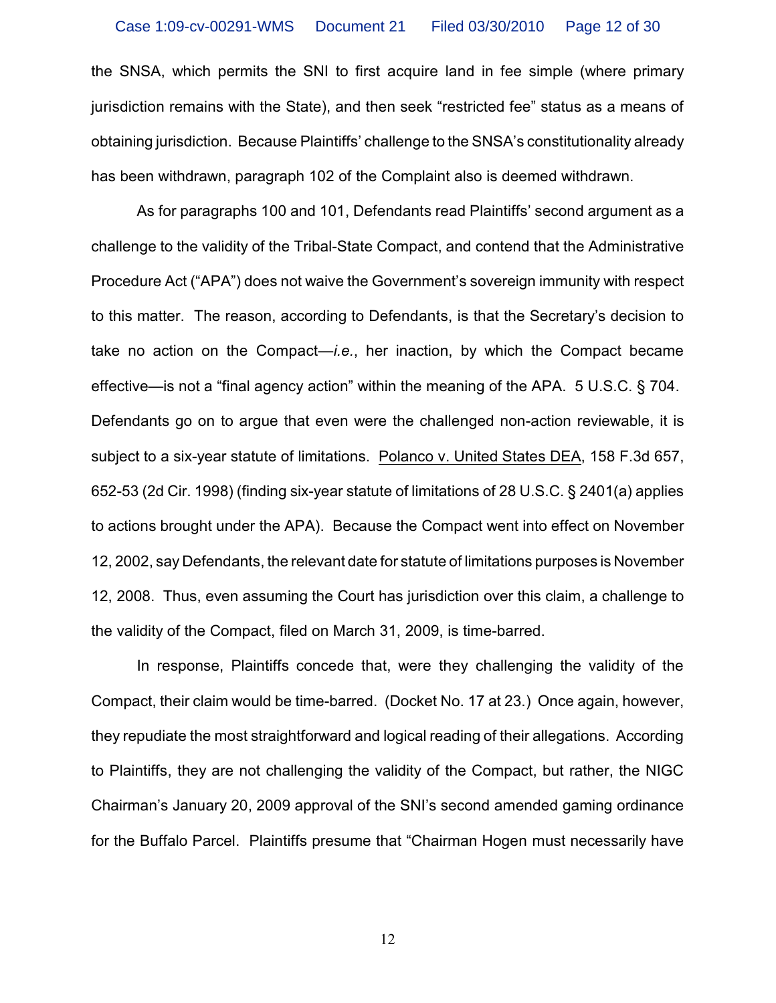the SNSA, which permits the SNI to first acquire land in fee simple (where primary jurisdiction remains with the State), and then seek "restricted fee" status as a means of obtaining jurisdiction. Because Plaintiffs' challenge to the SNSA's constitutionality already has been withdrawn, paragraph 102 of the Complaint also is deemed withdrawn.

As for paragraphs 100 and 101, Defendants read Plaintiffs' second argument as a challenge to the validity of the Tribal-State Compact, and contend that the Administrative Procedure Act ("APA") does not waive the Government's sovereign immunity with respect to this matter. The reason, according to Defendants, is that the Secretary's decision to take no action on the Compact—*i.e.*, her inaction, by which the Compact became effective—is not a "final agency action" within the meaning of the APA. 5 U.S.C. § 704. Defendants go on to argue that even were the challenged non-action reviewable, it is subject to a six-year statute of limitations. Polanco v. United States DEA, 158 F.3d 657, 652-53 (2d Cir. 1998) (finding six-year statute of limitations of 28 U.S.C. § 2401(a) applies to actions brought under the APA). Because the Compact went into effect on November 12, 2002, say Defendants, the relevant date for statute of limitations purposes is November 12, 2008. Thus, even assuming the Court has jurisdiction over this claim, a challenge to the validity of the Compact, filed on March 31, 2009, is time-barred.

In response, Plaintiffs concede that, were they challenging the validity of the Compact, their claim would be time-barred. (Docket No. 17 at 23.) Once again, however, they repudiate the most straightforward and logical reading of their allegations. According to Plaintiffs, they are not challenging the validity of the Compact, but rather, the NIGC Chairman's January 20, 2009 approval of the SNI's second amended gaming ordinance for the Buffalo Parcel. Plaintiffs presume that "Chairman Hogen must necessarily have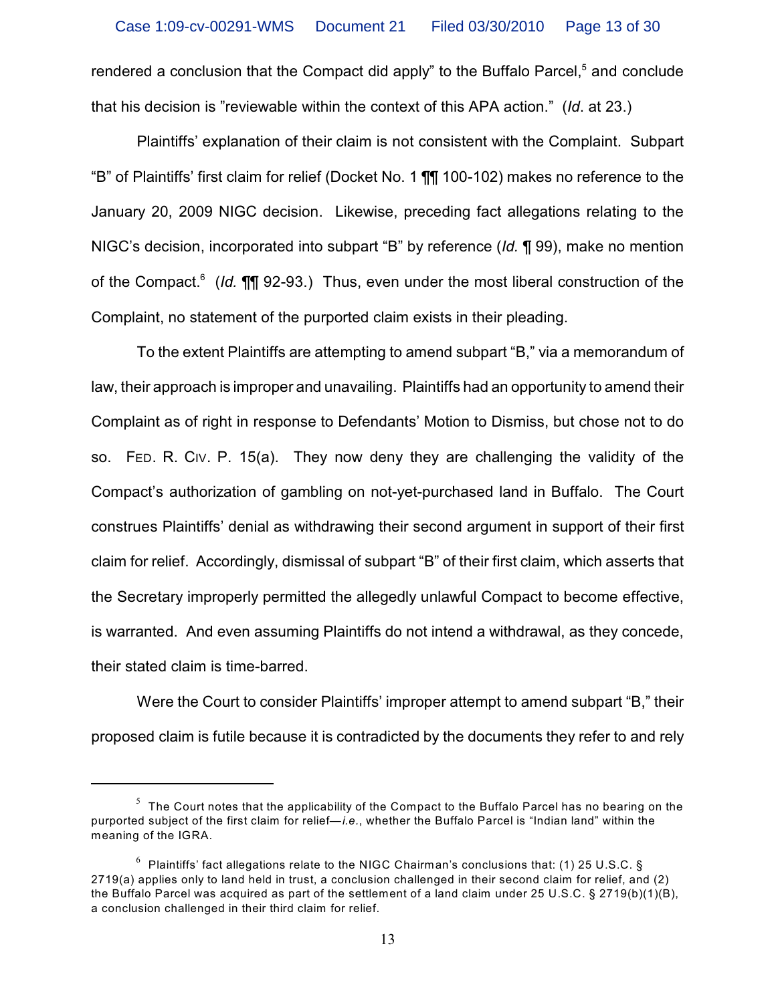rendered a conclusion that the Compact did apply" to the Buffalo Parcel, $5$  and conclude that his decision is "reviewable within the context of this APA action." (*Id*. at 23.)

Plaintiffs' explanation of their claim is not consistent with the Complaint. Subpart "B" of Plaintiffs' first claim for relief (Docket No. 1 ¶¶ 100-102) makes no reference to the January 20, 2009 NIGC decision. Likewise, preceding fact allegations relating to the NIGC's decision, incorporated into subpart "B" by reference (*Id.* ¶ 99), make no mention of the Compact.<sup>6</sup> (*Id.* **¶**¶ 92-93.) Thus, even under the most liberal construction of the Complaint, no statement of the purported claim exists in their pleading.

To the extent Plaintiffs are attempting to amend subpart "B," via a memorandum of law, their approach is improper and unavailing. Plaintiffs had an opportunity to amend their Complaint as of right in response to Defendants' Motion to Dismiss, but chose not to do so. FED. R. CIV. P. 15(a). They now deny they are challenging the validity of the Compact's authorization of gambling on not-yet-purchased land in Buffalo. The Court construes Plaintiffs' denial as withdrawing their second argument in support of their first claim for relief. Accordingly, dismissal of subpart "B" of their first claim, which asserts that the Secretary improperly permitted the allegedly unlawful Compact to become effective, is warranted. And even assuming Plaintiffs do not intend a withdrawal, as they concede, their stated claim is time-barred.

Were the Court to consider Plaintiffs' improper attempt to amend subpart "B," their proposed claim is futile because it is contradicted by the documents they refer to and rely

 $^5$  The Court notes that the applicability of the Compact to the Buffalo Parcel has no bearing on the purported subject of the first claim for relief—*i.e.*, whether the Buffalo Parcel is "Indian land" within the meaning of the IGRA.

 $^6\,$  Plaintiffs' fact allegations relate to the NIGC Chairman's conclusions that: (1) 25 U.S.C. § 2719(a) applies only to land held in trust, a conclusion challenged in their second claim for relief, and (2) the Buffalo Parcel was acquired as part of the settlement of a land claim under 25 U.S.C. § 2719(b)(1)(B), a conclusion challenged in their third claim for relief.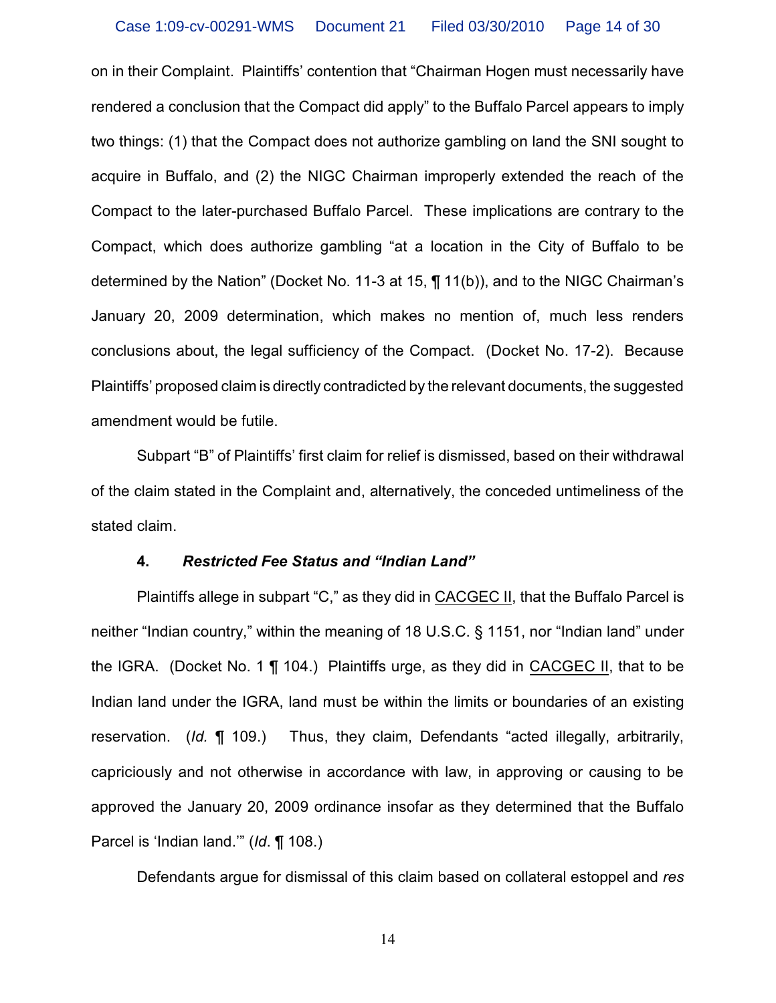on in their Complaint. Plaintiffs' contention that "Chairman Hogen must necessarily have rendered a conclusion that the Compact did apply" to the Buffalo Parcel appears to imply two things: (1) that the Compact does not authorize gambling on land the SNI sought to acquire in Buffalo, and (2) the NIGC Chairman improperly extended the reach of the Compact to the later-purchased Buffalo Parcel. These implications are contrary to the Compact, which does authorize gambling "at a location in the City of Buffalo to be determined by the Nation" (Docket No. 11-3 at 15, ¶ 11(b)), and to the NIGC Chairman's January 20, 2009 determination, which makes no mention of, much less renders conclusions about, the legal sufficiency of the Compact. (Docket No. 17-2). Because Plaintiffs' proposed claim is directly contradicted by the relevant documents, the suggested amendment would be futile.

Subpart "B" of Plaintiffs' first claim for relief is dismissed, based on their withdrawal of the claim stated in the Complaint and, alternatively, the conceded untimeliness of the stated claim.

#### **4.** *Restricted Fee Status and "Indian Land"*

Plaintiffs allege in subpart "C," as they did in CACGEC II, that the Buffalo Parcel is neither "Indian country," within the meaning of 18 U.S.C. § 1151, nor "Indian land" under the IGRA. (Docket No. 1 ¶ 104.) Plaintiffs urge, as they did in CACGEC II, that to be Indian land under the IGRA, land must be within the limits or boundaries of an existing reservation. (*Id.* ¶ 109.) Thus, they claim, Defendants "acted illegally, arbitrarily, capriciously and not otherwise in accordance with law, in approving or causing to be approved the January 20, 2009 ordinance insofar as they determined that the Buffalo Parcel is 'Indian land.'" (*Id*. ¶ 108.)

Defendants argue for dismissal of this claim based on collateral estoppel and *res*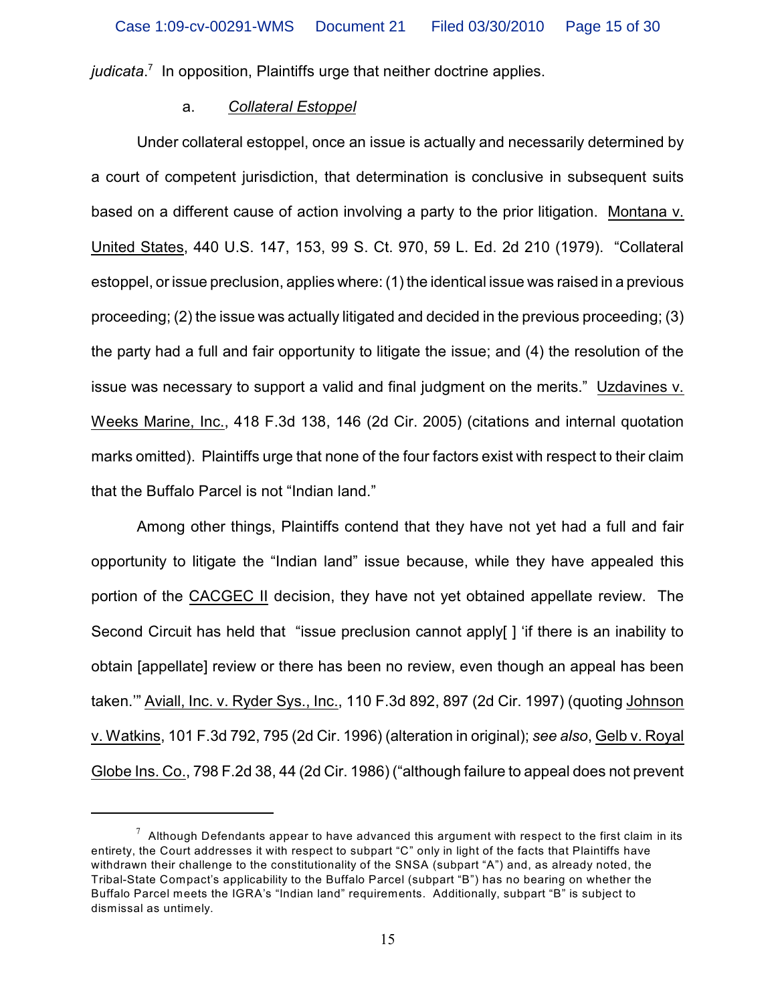*judicata*<sup>7</sup> In opposition. Plaintiffs urge that neither doctrine applies.

### a. *Collateral Estoppel*

Under collateral estoppel, once an issue is actually and necessarily determined by a court of competent jurisdiction, that determination is conclusive in subsequent suits based on a different cause of action involving a party to the prior litigation. Montana v. United States, 440 U.S. 147, 153, 99 S. Ct. 970, 59 L. Ed. 2d 210 (1979). "Collateral estoppel, or issue preclusion, applies where: (1) the identical issue was raised in a previous proceeding; (2) the issue was actually litigated and decided in the previous proceeding; (3) the party had a full and fair opportunity to litigate the issue; and (4) the resolution of the issue was necessary to support a valid and final judgment on the merits." Uzdavines v. Weeks Marine, Inc., 418 F.3d 138, 146 (2d Cir. 2005) (citations and internal quotation marks omitted). Plaintiffs urge that none of the four factors exist with respect to their claim that the Buffalo Parcel is not "Indian land."

Among other things, Plaintiffs contend that they have not yet had a full and fair opportunity to litigate the "Indian land" issue because, while they have appealed this portion of the CACGEC II decision, they have not yet obtained appellate review. The Second Circuit has held that "issue preclusion cannot apply[ ] 'if there is an inability to obtain [appellate] review or there has been no review, even though an appeal has been taken.'" Aviall, Inc. v. Ryder Sys., Inc., 110 F.3d 892, 897 (2d Cir. 1997) (quoting Johnson v. Watkins, 101 F.3d 792, 795 (2d Cir. 1996) (alteration in original); *see also*, Gelb v. Royal Globe Ins. Co., 798 F.2d 38, 44 (2d Cir. 1986) ("although failure to appeal does not prevent

 $^7\,$  Although Defendants appear to have advanced this argument with respect to the first claim in its entirety, the Court addresses it with respect to subpart "C" only in light of the facts that Plaintiffs have withdrawn their challenge to the constitutionality of the SNSA (subpart "A") and, as already noted, the Tribal-State Compact's applicability to the Buffalo Parcel (subpart "B") has no bearing on whether the Buffalo Parcel meets the IGRA's "Indian land" requirements. Additionally, subpart "B" is subject to dismissal as untimely.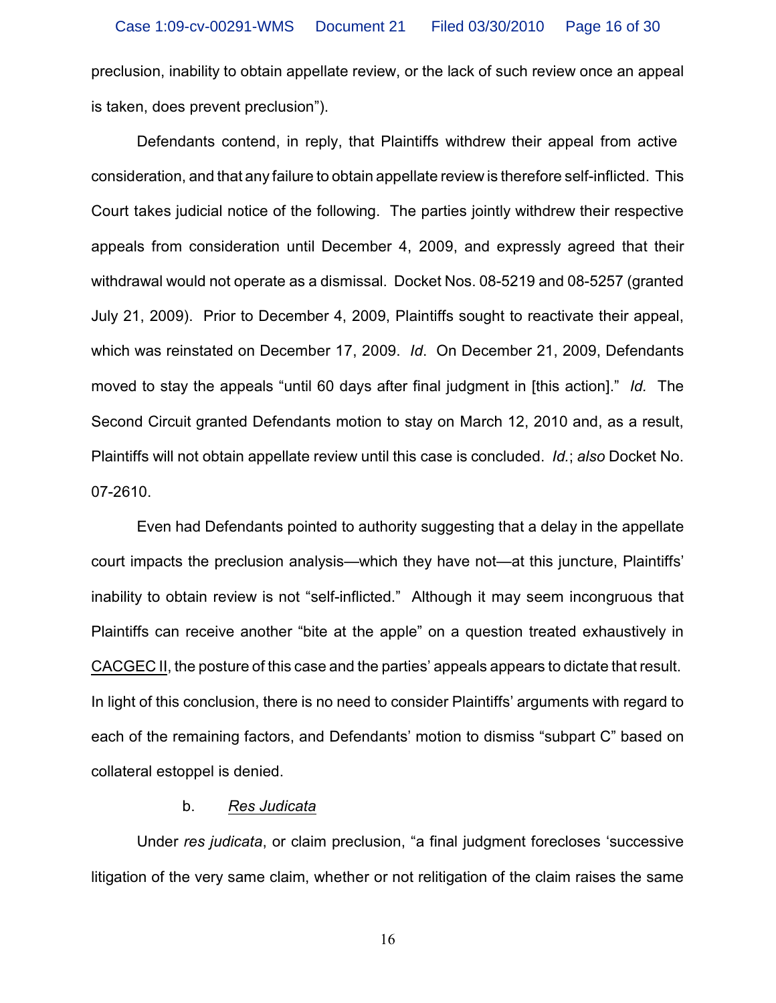preclusion, inability to obtain appellate review, or the lack of such review once an appeal is taken, does prevent preclusion").

Defendants contend, in reply, that Plaintiffs withdrew their appeal from active consideration, and that any failure to obtain appellate review is therefore self-inflicted. This Court takes judicial notice of the following. The parties jointly withdrew their respective appeals from consideration until December 4, 2009, and expressly agreed that their withdrawal would not operate as a dismissal. Docket Nos. 08-5219 and 08-5257 (granted July 21, 2009). Prior to December 4, 2009, Plaintiffs sought to reactivate their appeal, which was reinstated on December 17, 2009. *Id*. On December 21, 2009, Defendants moved to stay the appeals "until 60 days after final judgment in [this action]." *Id.* The Second Circuit granted Defendants motion to stay on March 12, 2010 and, as a result, Plaintiffs will not obtain appellate review until this case is concluded. *Id.*; *also* Docket No. 07-2610.

Even had Defendants pointed to authority suggesting that a delay in the appellate court impacts the preclusion analysis—which they have not—at this juncture, Plaintiffs' inability to obtain review is not "self-inflicted." Although it may seem incongruous that Plaintiffs can receive another "bite at the apple" on a question treated exhaustively in CACGEC II, the posture of this case and the parties' appeals appears to dictate that result. In light of this conclusion, there is no need to consider Plaintiffs' arguments with regard to each of the remaining factors, and Defendants' motion to dismiss "subpart C" based on collateral estoppel is denied.

### b. *Res Judicata*

Under *res judicata*, or claim preclusion, "a final judgment forecloses 'successive litigation of the very same claim, whether or not relitigation of the claim raises the same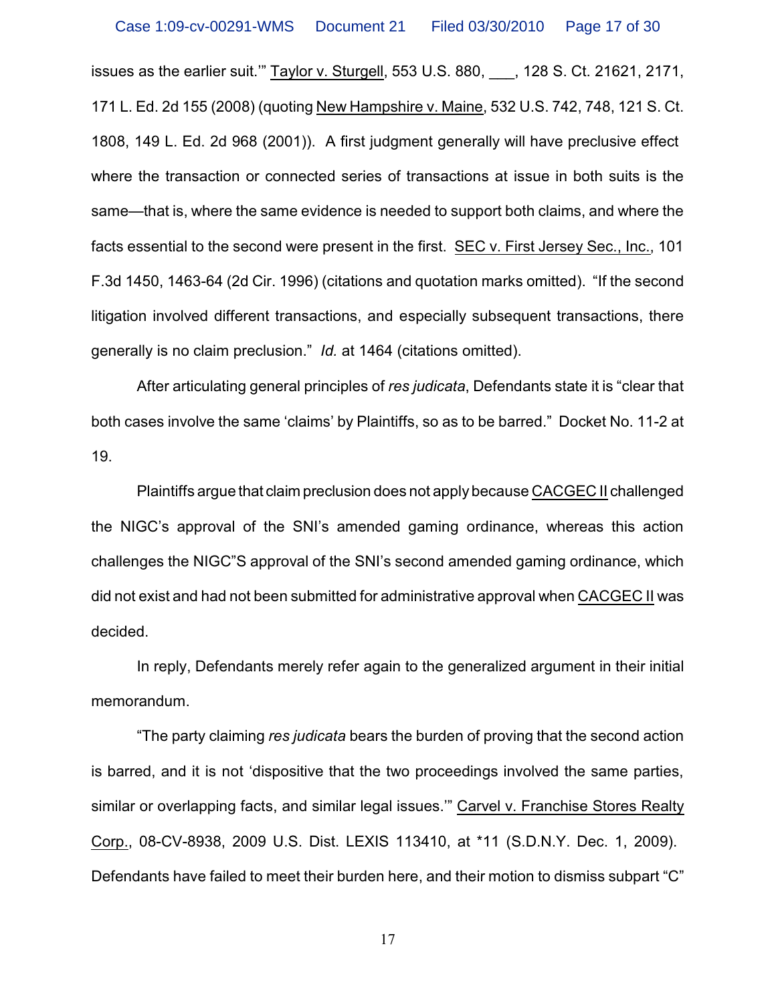issues as the earlier suit.'" Taylor v. Sturgell, 553 U.S. 880, \_\_\_, 128 S. Ct. 21621, 2171, 171 L. Ed. 2d 155 (2008) (quoting New Hampshire v. Maine, 532 U.S. 742, 748, 121 S. Ct. 1808, 149 L. Ed. 2d 968 (2001)). A first judgment generally will have preclusive effect where the transaction or connected series of transactions at issue in both suits is the same—that is, where the same evidence is needed to support both claims, and where the facts essential to the second were present in the first. SEC v. First Jersey Sec., Inc., 101 F.3d 1450, 1463-64 (2d Cir. 1996) (citations and quotation marks omitted). "If the second litigation involved different transactions, and especially subsequent transactions, there generally is no claim preclusion." *Id.* at 1464 (citations omitted).

After articulating general principles of *res judicata*, Defendants state it is "clear that both cases involve the same 'claims' by Plaintiffs, so as to be barred." Docket No. 11-2 at 19.

Plaintiffs argue that claim preclusion does not apply because CACGEC II challenged the NIGC's approval of the SNI's amended gaming ordinance, whereas this action challenges the NIGC"S approval of the SNI's second amended gaming ordinance, which did not exist and had not been submitted for administrative approval when CACGEC II was decided.

In reply, Defendants merely refer again to the generalized argument in their initial memorandum.

"The party claiming *res judicata* bears the burden of proving that the second action is barred, and it is not 'dispositive that the two proceedings involved the same parties, similar or overlapping facts, and similar legal issues.'" Carvel v. Franchise Stores Realty Corp., 08-CV-8938, 2009 U.S. Dist. LEXIS 113410, at \*11 (S.D.N.Y. Dec. 1, 2009). Defendants have failed to meet their burden here, and their motion to dismiss subpart "C"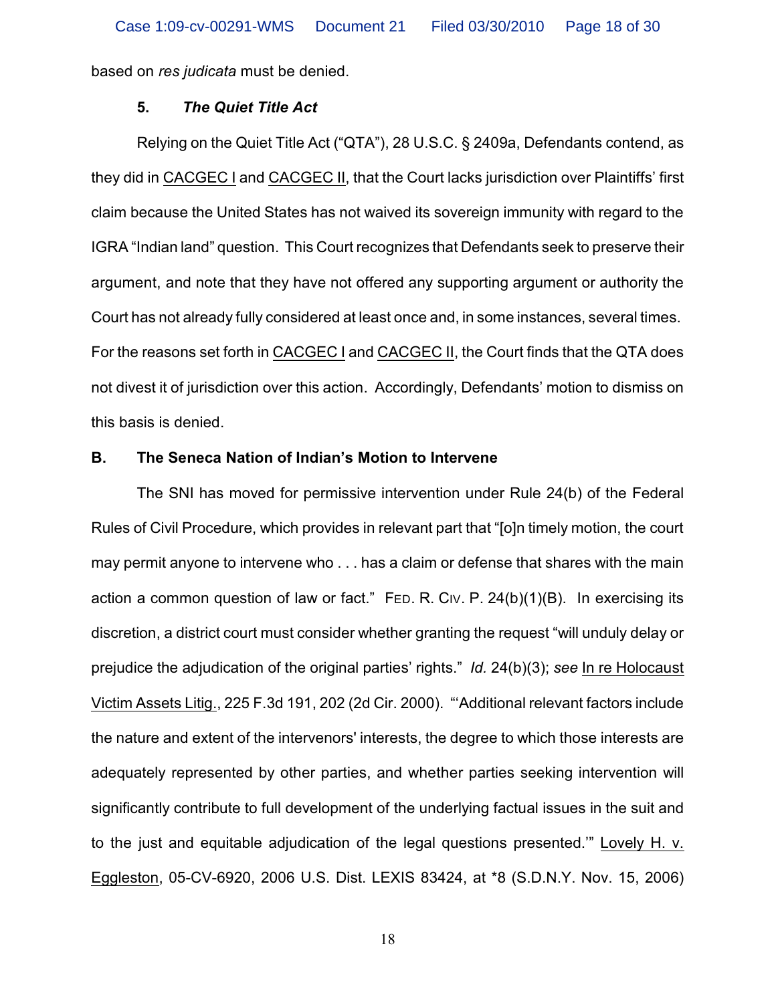based on *res judicata* must be denied.

### **5.** *The Quiet Title Act*

Relying on the Quiet Title Act ("QTA"), 28 U.S.C. § 2409a, Defendants contend, as they did in CACGEC I and CACGEC II, that the Court lacks jurisdiction over Plaintiffs' first claim because the United States has not waived its sovereign immunity with regard to the IGRA "Indian land" question. This Court recognizes that Defendants seek to preserve their argument, and note that they have not offered any supporting argument or authority the Court has not already fully considered at least once and, in some instances, several times. For the reasons set forth in CACGEC I and CACGEC II, the Court finds that the QTA does not divest it of jurisdiction over this action. Accordingly, Defendants' motion to dismiss on this basis is denied.

#### **B. The Seneca Nation of Indian's Motion to Intervene**

The SNI has moved for permissive intervention under Rule 24(b) of the Federal Rules of Civil Procedure, which provides in relevant part that "[o]n timely motion, the court may permit anyone to intervene who . . . has a claim or defense that shares with the main action a common question of law or fact." FED. R. CIV. P.  $24(b)(1)(B)$ . In exercising its discretion, a district court must consider whether granting the request "will unduly delay or prejudice the adjudication of the original parties' rights." *Id.* 24(b)(3); *see* In re Holocaust Victim Assets Litig., 225 F.3d 191, 202 (2d Cir. 2000). "'Additional relevant factors include the nature and extent of the intervenors' interests, the degree to which those interests are adequately represented by other parties, and whether parties seeking intervention will significantly contribute to full development of the underlying factual issues in the suit and to the just and equitable adjudication of the legal questions presented.'" Lovely H. v. Eggleston, 05-CV-6920, 2006 U.S. Dist. LEXIS 83424, at \*8 (S.D.N.Y. Nov. 15, 2006)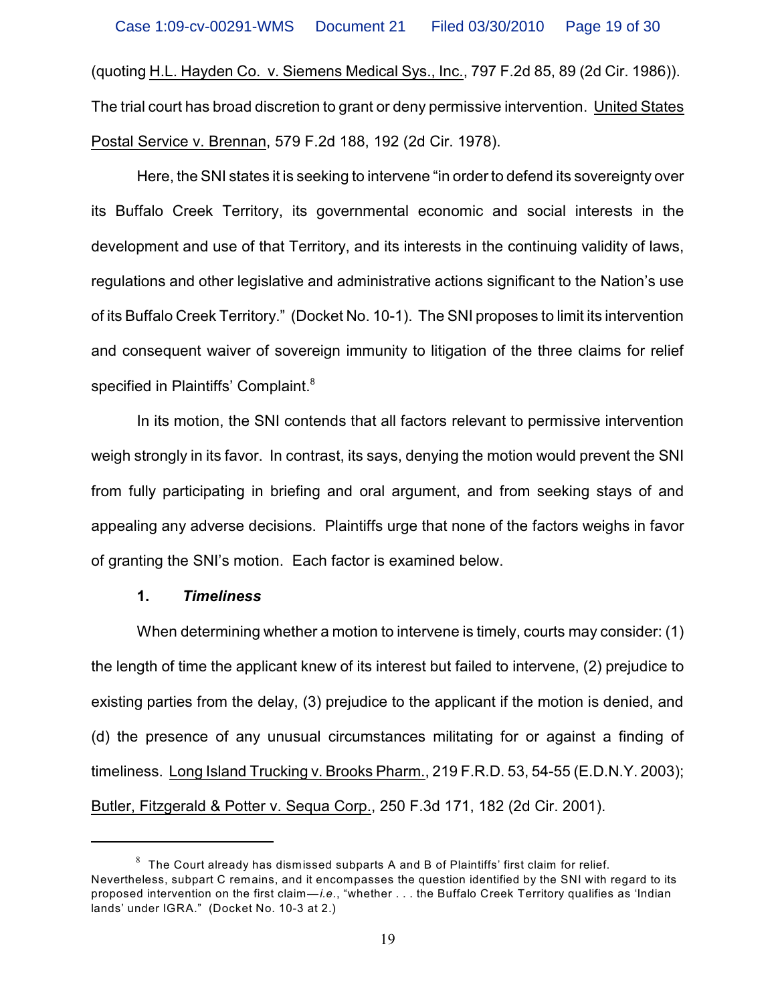(quoting H.L. Hayden Co. v. Siemens Medical Sys., Inc., 797 F.2d 85, 89 (2d Cir. 1986)). The trial court has broad discretion to grant or deny permissive intervention. United States Postal Service v. Brennan, 579 F.2d 188, 192 (2d Cir. 1978).

Here, the SNI states it is seeking to intervene "in order to defend its sovereignty over its Buffalo Creek Territory, its governmental economic and social interests in the development and use of that Territory, and its interests in the continuing validity of laws, regulations and other legislative and administrative actions significant to the Nation's use of its Buffalo Creek Territory." (Docket No. 10-1). The SNI proposes to limit its intervention and consequent waiver of sovereign immunity to litigation of the three claims for relief specified in Plaintiffs' Complaint.<sup>8</sup>

In its motion, the SNI contends that all factors relevant to permissive intervention weigh strongly in its favor. In contrast, its says, denying the motion would prevent the SNI from fully participating in briefing and oral argument, and from seeking stays of and appealing any adverse decisions. Plaintiffs urge that none of the factors weighs in favor of granting the SNI's motion. Each factor is examined below.

### **1.** *Timeliness*

When determining whether a motion to intervene is timely, courts may consider: (1) the length of time the applicant knew of its interest but failed to intervene, (2) prejudice to existing parties from the delay, (3) prejudice to the applicant if the motion is denied, and (d) the presence of any unusual circumstances militating for or against a finding of timeliness. Long Island Trucking v. Brooks Pharm., 219 F.R.D. 53, 54-55 (E.D.N.Y. 2003); Butler, Fitzgerald & Potter v. Sequa Corp., 250 F.3d 171, 182 (2d Cir. 2001).

 $^8$  The Court already has dismissed subparts A and B of Plaintiffs' first claim for relief. Nevertheless, subpart C remains, and it encompasses the question identified by the SNI with regard to its proposed intervention on the first claim—*i.e.*, "whether . . . the Buffalo Creek Territory qualifies as 'Indian lands' under IGRA." (Docket No. 10-3 at 2.)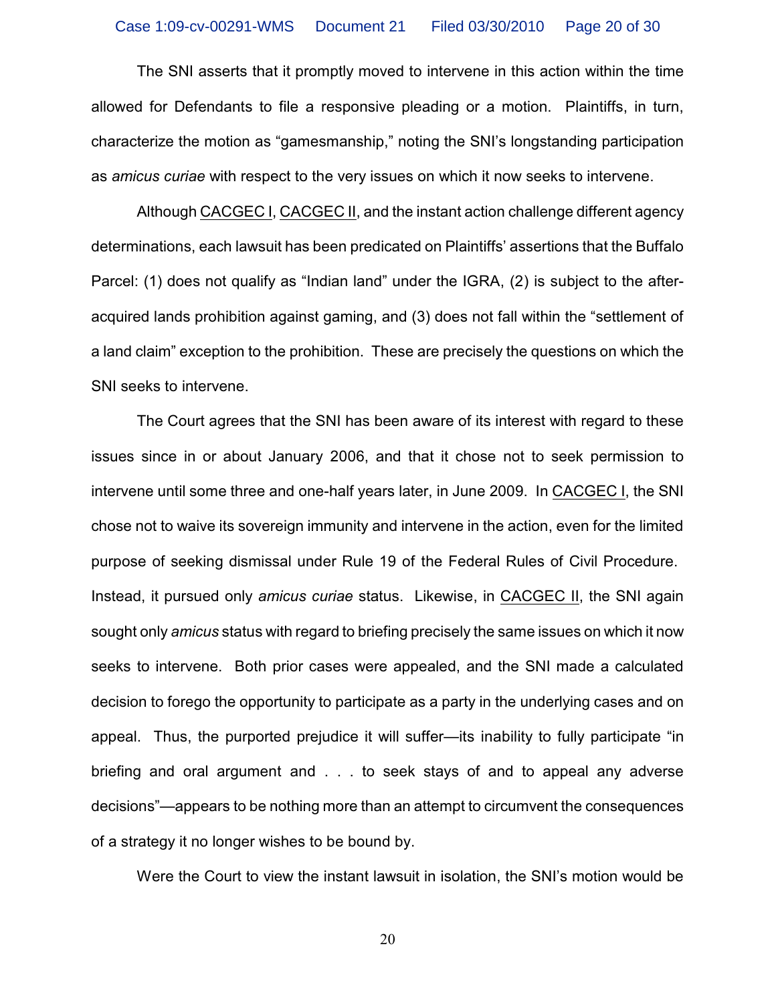The SNI asserts that it promptly moved to intervene in this action within the time allowed for Defendants to file a responsive pleading or a motion. Plaintiffs, in turn, characterize the motion as "gamesmanship," noting the SNI's longstanding participation as *amicus curiae* with respect to the very issues on which it now seeks to intervene.

Although CACGEC I, CACGEC II, and the instant action challenge different agency determinations, each lawsuit has been predicated on Plaintiffs' assertions that the Buffalo Parcel: (1) does not qualify as "Indian land" under the IGRA, (2) is subject to the afteracquired lands prohibition against gaming, and (3) does not fall within the "settlement of a land claim" exception to the prohibition. These are precisely the questions on which the SNI seeks to intervene.

The Court agrees that the SNI has been aware of its interest with regard to these issues since in or about January 2006, and that it chose not to seek permission to intervene until some three and one-half years later, in June 2009. In CACGEC I, the SNI chose not to waive its sovereign immunity and intervene in the action, even for the limited purpose of seeking dismissal under Rule 19 of the Federal Rules of Civil Procedure. Instead, it pursued only *amicus curiae* status. Likewise, in CACGEC II, the SNI again sought only *amicus* status with regard to briefing precisely the same issues on which it now seeks to intervene. Both prior cases were appealed, and the SNI made a calculated decision to forego the opportunity to participate as a party in the underlying cases and on appeal. Thus, the purported prejudice it will suffer—its inability to fully participate "in briefing and oral argument and . . . to seek stays of and to appeal any adverse decisions"—appears to be nothing more than an attempt to circumvent the consequences of a strategy it no longer wishes to be bound by.

Were the Court to view the instant lawsuit in isolation, the SNI's motion would be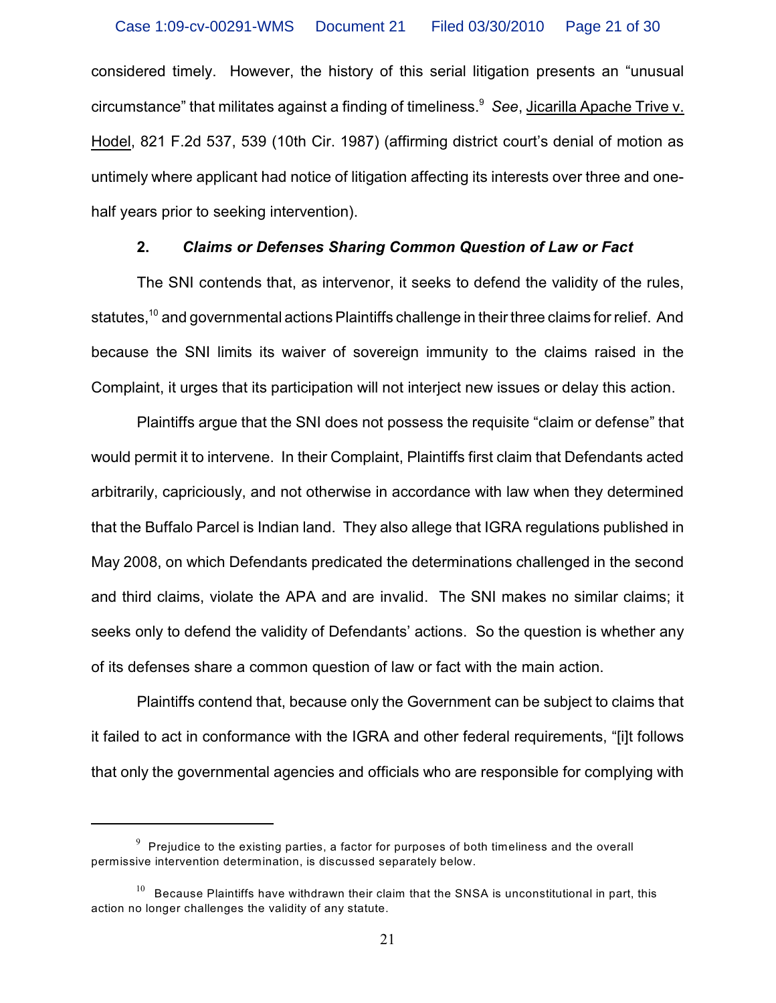considered timely. However, the history of this serial litigation presents an "unusual circumstance" that militates against a finding of timeliness.<sup>9</sup> See, <u>Jicarilla Apache Trive v.</u> Hodel, 821 F.2d 537, 539 (10th Cir. 1987) (affirming district court's denial of motion as untimely where applicant had notice of litigation affecting its interests over three and onehalf years prior to seeking intervention).

#### **2.** *Claims or Defenses Sharing Common Question of Law or Fact*

The SNI contends that, as intervenor, it seeks to defend the validity of the rules, statutes, <sup>10</sup> and governmental actions Plaintiffs challenge in their three claims for relief. And because the SNI limits its waiver of sovereign immunity to the claims raised in the Complaint, it urges that its participation will not interject new issues or delay this action.

Plaintiffs argue that the SNI does not possess the requisite "claim or defense" that would permit it to intervene. In their Complaint, Plaintiffs first claim that Defendants acted arbitrarily, capriciously, and not otherwise in accordance with law when they determined that the Buffalo Parcel is Indian land. They also allege that IGRA regulations published in May 2008, on which Defendants predicated the determinations challenged in the second and third claims, violate the APA and are invalid. The SNI makes no similar claims; it seeks only to defend the validity of Defendants' actions. So the question is whether any of its defenses share a common question of law or fact with the main action.

Plaintiffs contend that, because only the Government can be subject to claims that it failed to act in conformance with the IGRA and other federal requirements, "[i]t follows that only the governmental agencies and officials who are responsible for complying with

 $^9\,$  Prejudice to the existing parties, a factor for purposes of both timeliness and the overall permissive intervention determination, is discussed separately below.

 $^{10}$  Because Plaintiffs have withdrawn their claim that the SNSA is unconstitutional in part, this action no longer challenges the validity of any statute.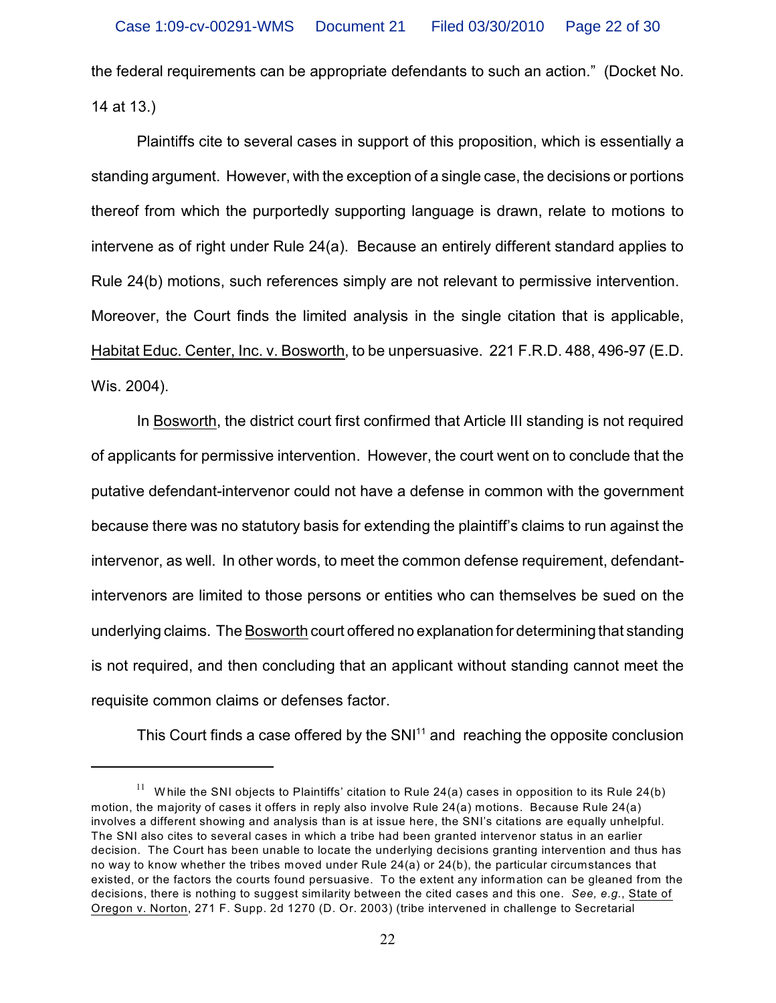the federal requirements can be appropriate defendants to such an action." (Docket No. 14 at 13.)

Plaintiffs cite to several cases in support of this proposition, which is essentially a standing argument. However, with the exception of a single case, the decisions or portions thereof from which the purportedly supporting language is drawn, relate to motions to intervene as of right under Rule 24(a). Because an entirely different standard applies to Rule 24(b) motions, such references simply are not relevant to permissive intervention. Moreover, the Court finds the limited analysis in the single citation that is applicable, Habitat Educ. Center, Inc. v. Bosworth, to be unpersuasive. 221 F.R.D. 488, 496-97 (E.D. Wis. 2004).

In Bosworth, the district court first confirmed that Article III standing is not required of applicants for permissive intervention. However, the court went on to conclude that the putative defendant-intervenor could not have a defense in common with the government because there was no statutory basis for extending the plaintiff's claims to run against the intervenor, as well. In other words, to meet the common defense requirement, defendantintervenors are limited to those persons or entities who can themselves be sued on the underlying claims. The Bosworth court offered no explanation for determining that standing is not required, and then concluding that an applicant without standing cannot meet the requisite common claims or defenses factor.

This Court finds a case offered by the  $SNI<sup>11</sup>$  and reaching the opposite conclusion

 $11$  While the SNI objects to Plaintiffs' citation to Rule 24(a) cases in opposition to its Rule 24(b) motion, the majority of cases it offers in reply also involve Rule 24(a) motions. Because Rule 24(a) involves a different showing and analysis than is at issue here, the SNI's citations are equally unhelpful. The SNI also cites to several cases in which a tribe had been granted intervenor status in an earlier decision. The Court has been unable to locate the underlying decisions granting intervention and thus has no way to know whether the tribes moved under Rule 24(a) or 24(b), the particular circumstances that existed, or the factors the courts found persuasive. To the extent any information can be gleaned from the decisions, there is nothing to suggest similarity between the cited cases and this one. *See, e.g.*, State of Oregon v. Norton, 271 F. Supp. 2d 1270 (D. Or. 2003) (tribe intervened in challenge to Secretarial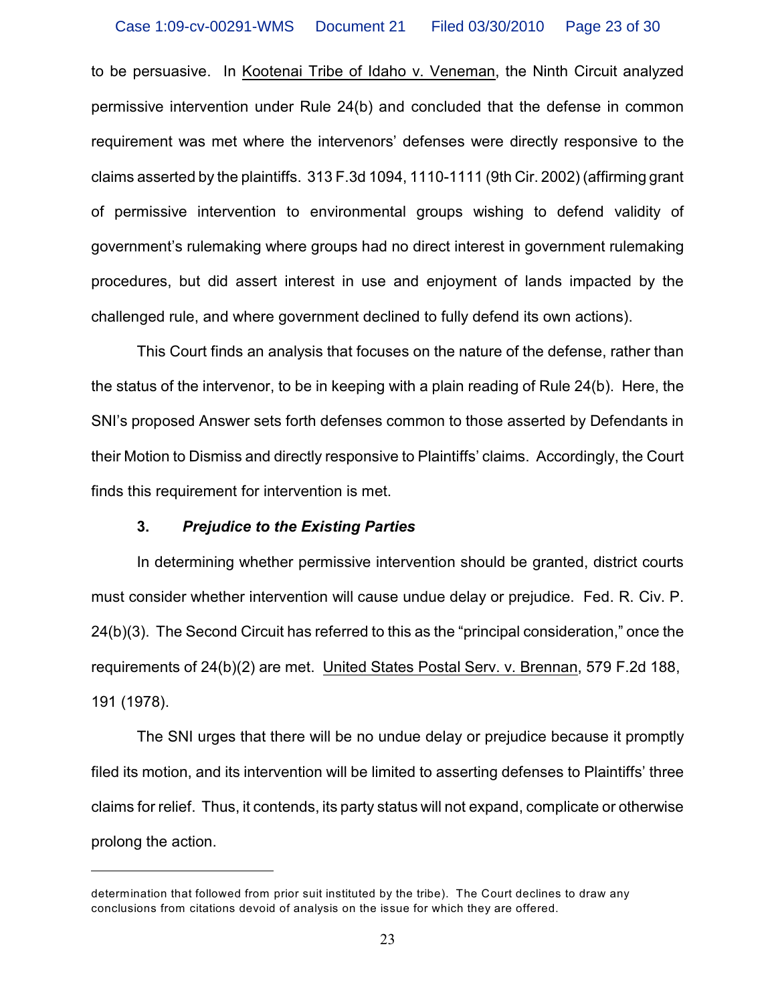to be persuasive. In Kootenai Tribe of Idaho v. Veneman, the Ninth Circuit analyzed permissive intervention under Rule 24(b) and concluded that the defense in common requirement was met where the intervenors' defenses were directly responsive to the claims asserted by the plaintiffs. 313 F.3d 1094, 1110-1111 (9th Cir. 2002) (affirming grant of permissive intervention to environmental groups wishing to defend validity of government's rulemaking where groups had no direct interest in government rulemaking procedures, but did assert interest in use and enjoyment of lands impacted by the challenged rule, and where government declined to fully defend its own actions).

This Court finds an analysis that focuses on the nature of the defense, rather than the status of the intervenor, to be in keeping with a plain reading of Rule 24(b). Here, the SNI's proposed Answer sets forth defenses common to those asserted by Defendants in their Motion to Dismiss and directly responsive to Plaintiffs' claims. Accordingly, the Court finds this requirement for intervention is met.

### **3.** *Prejudice to the Existing Parties*

In determining whether permissive intervention should be granted, district courts must consider whether intervention will cause undue delay or prejudice. Fed. R. Civ. P. 24(b)(3). The Second Circuit has referred to this as the "principal consideration," once the requirements of 24(b)(2) are met. United States Postal Serv. v. Brennan, 579 F.2d 188, 191 (1978).

The SNI urges that there will be no undue delay or prejudice because it promptly filed its motion, and its intervention will be limited to asserting defenses to Plaintiffs' three claims for relief. Thus, it contends, its party status will not expand, complicate or otherwise prolong the action.

determination that followed from prior suit instituted by the tribe). The Court declines to draw any conclusions from citations devoid of analysis on the issue for which they are offered.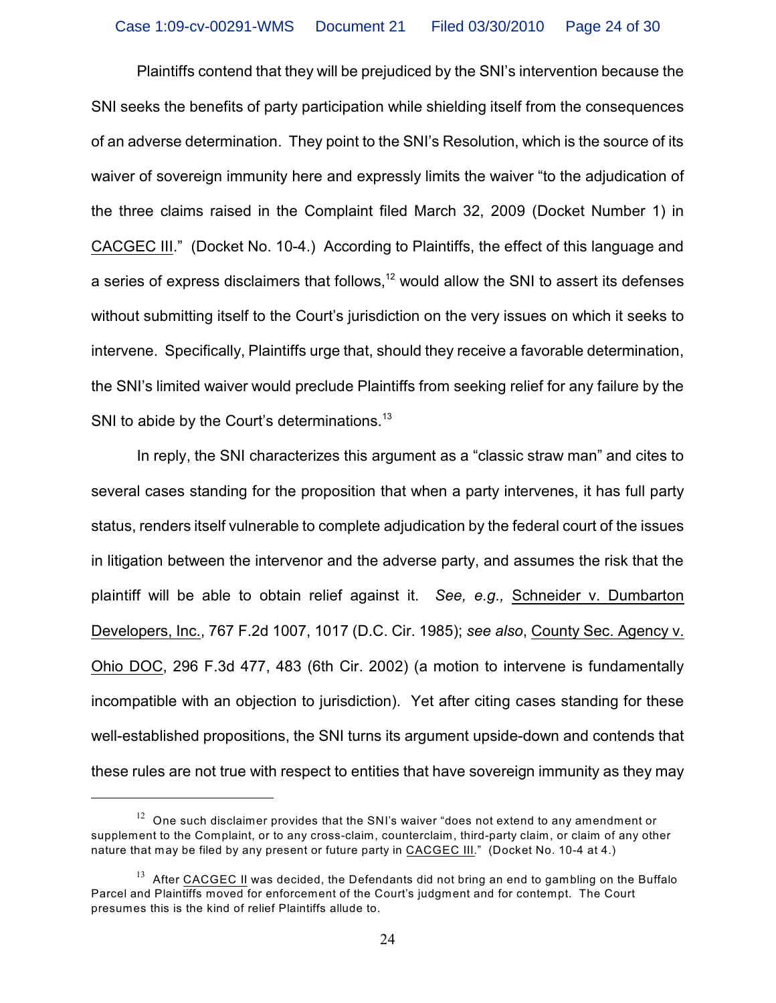Plaintiffs contend that they will be prejudiced by the SNI's intervention because the SNI seeks the benefits of party participation while shielding itself from the consequences of an adverse determination. They point to the SNI's Resolution, which is the source of its waiver of sovereign immunity here and expressly limits the waiver "to the adjudication of the three claims raised in the Complaint filed March 32, 2009 (Docket Number 1) in CACGEC III." (Docket No. 10-4.) According to Plaintiffs, the effect of this language and a series of express disclaimers that follows, $^{12}$  would allow the SNI to assert its defenses without submitting itself to the Court's jurisdiction on the very issues on which it seeks to intervene. Specifically, Plaintiffs urge that, should they receive a favorable determination, the SNI's limited waiver would preclude Plaintiffs from seeking relief for any failure by the SNI to abide by the Court's determinations.<sup>13</sup>

In reply, the SNI characterizes this argument as a "classic straw man" and cites to several cases standing for the proposition that when a party intervenes, it has full party status, renders itself vulnerable to complete adjudication by the federal court of the issues in litigation between the intervenor and the adverse party, and assumes the risk that the plaintiff will be able to obtain relief against it. *See, e.g.,* Schneider v. Dumbarton Developers, Inc., 767 F.2d 1007, 1017 (D.C. Cir. 1985); *see also*, County Sec. Agency v. Ohio DOC, 296 F.3d 477, 483 (6th Cir. 2002) (a motion to intervene is fundamentally incompatible with an objection to jurisdiction). Yet after citing cases standing for these well-established propositions, the SNI turns its argument upside-down and contends that these rules are not true with respect to entities that have sovereign immunity as they may

 $12$  One such disclaimer provides that the SNI's waiver "does not extend to any amendment or supplement to the Complaint, or to any cross-claim, counterclaim, third-party claim, or claim of any other nature that may be filed by any present or future party in CACGEC III." (Docket No. 10-4 at 4.)

 $13$  After CACGEC II was decided, the Defendants did not bring an end to gambling on the Buffalo Parcel and Plaintiffs moved for enforcement of the Court's judgment and for contempt. The Court presumes this is the kind of relief Plaintiffs allude to.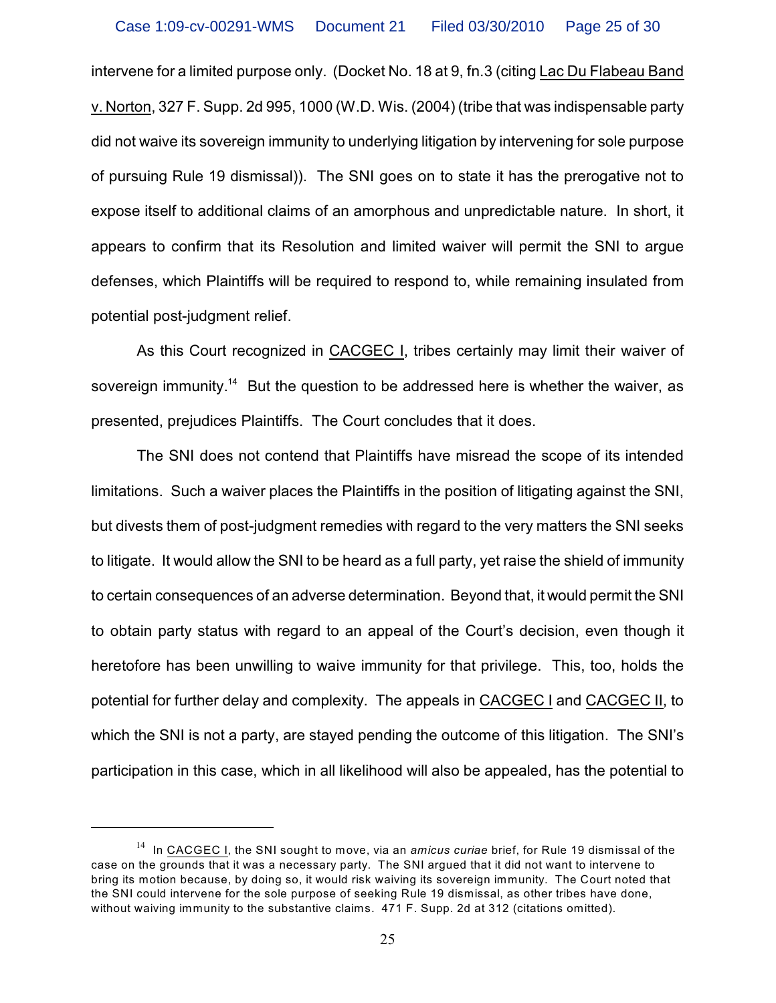intervene for a limited purpose only. (Docket No. 18 at 9, fn.3 (citing Lac Du Flabeau Band v. Norton, 327 F. Supp. 2d 995, 1000 (W.D. Wis. (2004) (tribe that was indispensable party did not waive its sovereign immunity to underlying litigation by intervening for sole purpose of pursuing Rule 19 dismissal)). The SNI goes on to state it has the prerogative not to expose itself to additional claims of an amorphous and unpredictable nature. In short, it appears to confirm that its Resolution and limited waiver will permit the SNI to argue defenses, which Plaintiffs will be required to respond to, while remaining insulated from potential post-judgment relief.

As this Court recognized in CACGEC I, tribes certainly may limit their waiver of sovereign immunity.<sup>14</sup> But the question to be addressed here is whether the waiver, as presented, prejudices Plaintiffs. The Court concludes that it does.

The SNI does not contend that Plaintiffs have misread the scope of its intended limitations. Such a waiver places the Plaintiffs in the position of litigating against the SNI, but divests them of post-judgment remedies with regard to the very matters the SNI seeks to litigate. It would allow the SNI to be heard as a full party, yet raise the shield of immunity to certain consequences of an adverse determination. Beyond that, it would permit the SNI to obtain party status with regard to an appeal of the Court's decision, even though it heretofore has been unwilling to waive immunity for that privilege. This, too, holds the potential for further delay and complexity. The appeals in CACGEC I and CACGEC II, to which the SNI is not a party, are stayed pending the outcome of this litigation. The SNI's participation in this case, which in all likelihood will also be appealed, has the potential to

<sup>&</sup>lt;sup>14</sup> In CACGEC I, the SNI sought to move, via an *amicus curiae* brief, for Rule 19 dismissal of the case on the grounds that it was a necessary party. The SNI argued that it did not want to intervene to bring its motion because, by doing so, it would risk waiving its sovereign immunity. The Court noted that the SNI could intervene for the sole purpose of seeking Rule 19 dismissal, as other tribes have done, without waiving immunity to the substantive claims. 471 F. Supp. 2d at 312 (citations omitted).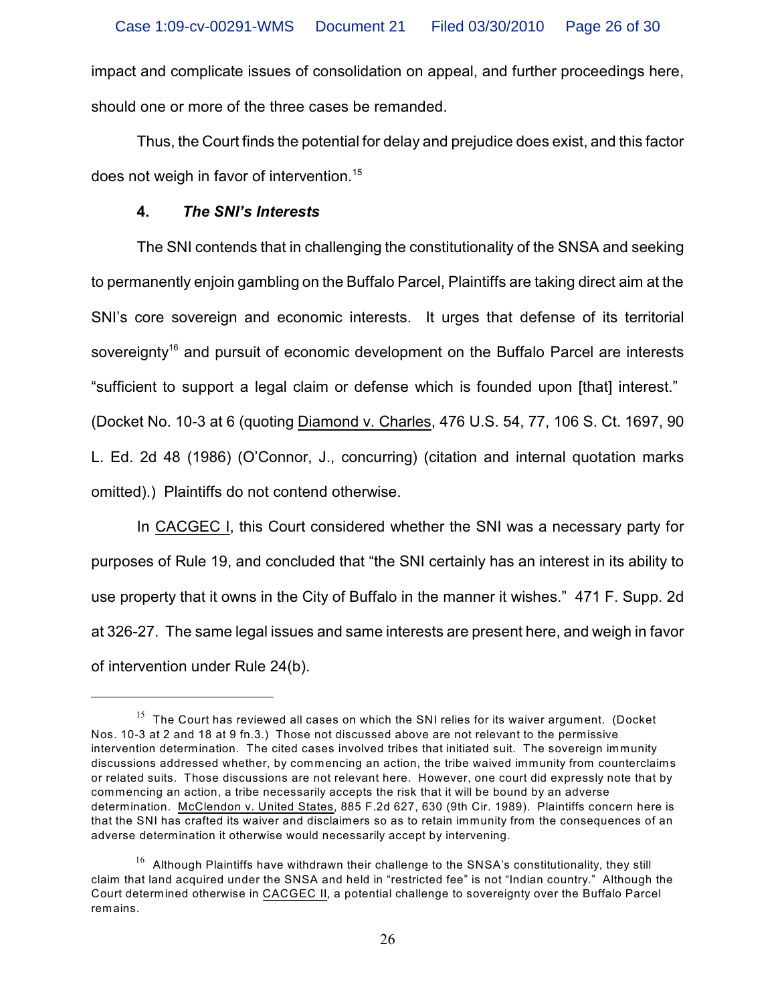impact and complicate issues of consolidation on appeal, and further proceedings here, should one or more of the three cases be remanded.

Thus, the Court finds the potential for delay and prejudice does exist, and this factor does not weigh in favor of intervention.<sup>15</sup>

## **4.** *The SNI's Interests*

The SNI contends that in challenging the constitutionality of the SNSA and seeking to permanently enjoin gambling on the Buffalo Parcel, Plaintiffs are taking direct aim at the SNI's core sovereign and economic interests. It urges that defense of its territorial sovereignty<sup>16</sup> and pursuit of economic development on the Buffalo Parcel are interests "sufficient to support a legal claim or defense which is founded upon [that] interest." (Docket No. 10-3 at 6 (quoting Diamond v. Charles, 476 U.S. 54, 77, 106 S. Ct. 1697, 90 L. Ed. 2d 48 (1986) (O'Connor, J., concurring) (citation and internal quotation marks omitted).) Plaintiffs do not contend otherwise.

In CACGEC I, this Court considered whether the SNI was a necessary party for purposes of Rule 19, and concluded that "the SNI certainly has an interest in its ability to use property that it owns in the City of Buffalo in the manner it wishes." 471 F. Supp. 2d at 326-27. The same legal issues and same interests are present here, and weigh in favor of intervention under Rule 24(b).

 $15$  The Court has reviewed all cases on which the SNI relies for its waiver argument. (Docket Nos. 10-3 at 2 and 18 at 9 fn.3.) Those not discussed above are not relevant to the permissive intervention determination. The cited cases involved tribes that initiated suit. The sovereign immunity discussions addressed whether, by commencing an action, the tribe waived immunity from counterclaims or related suits. Those discussions are not relevant here. However, one court did expressly note that by commencing an action, a tribe necessarily accepts the risk that it will be bound by an adverse determination. McClendon v. United States, 885 F.2d 627, 630 (9th Cir. 1989). Plaintiffs concern here is that the SNI has crafted its waiver and disclaimers so as to retain immunity from the consequences of an adverse determination it otherwise would necessarily accept by intervening.

 $^{16}$  Although Plaintiffs have withdrawn their challenge to the SNSA's constitutionality, they still claim that land acquired under the SNSA and held in "restricted fee" is not "Indian country." Although the Court determined otherwise in CACGEC II, a potential challenge to sovereignty over the Buffalo Parcel remains.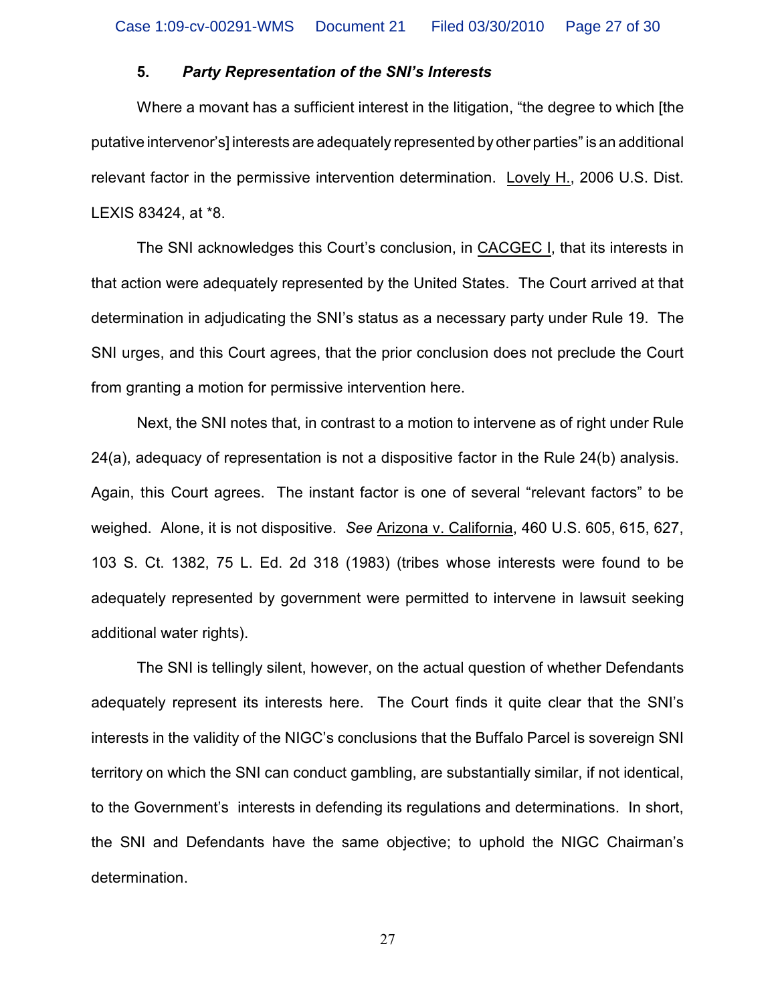### **5.** *Party Representation of the SNI's Interests*

Where a movant has a sufficient interest in the litigation, "the degree to which [the putative intervenor's] interests are adequately represented by other parties" is an additional relevant factor in the permissive intervention determination. Lovely H., 2006 U.S. Dist. LEXIS 83424, at \*8.

The SNI acknowledges this Court's conclusion, in CACGEC I, that its interests in that action were adequately represented by the United States. The Court arrived at that determination in adjudicating the SNI's status as a necessary party under Rule 19. The SNI urges, and this Court agrees, that the prior conclusion does not preclude the Court from granting a motion for permissive intervention here.

Next, the SNI notes that, in contrast to a motion to intervene as of right under Rule 24(a), adequacy of representation is not a dispositive factor in the Rule 24(b) analysis. Again, this Court agrees. The instant factor is one of several "relevant factors" to be weighed. Alone, it is not dispositive. *See* Arizona v. California, 460 U.S. 605, 615, 627, 103 S. Ct. 1382, 75 L. Ed. 2d 318 (1983) (tribes whose interests were found to be adequately represented by government were permitted to intervene in lawsuit seeking additional water rights).

The SNI is tellingly silent, however, on the actual question of whether Defendants adequately represent its interests here. The Court finds it quite clear that the SNI's interests in the validity of the NIGC's conclusions that the Buffalo Parcel is sovereign SNI territory on which the SNI can conduct gambling, are substantially similar, if not identical, to the Government's interests in defending its regulations and determinations. In short, the SNI and Defendants have the same objective; to uphold the NIGC Chairman's determination.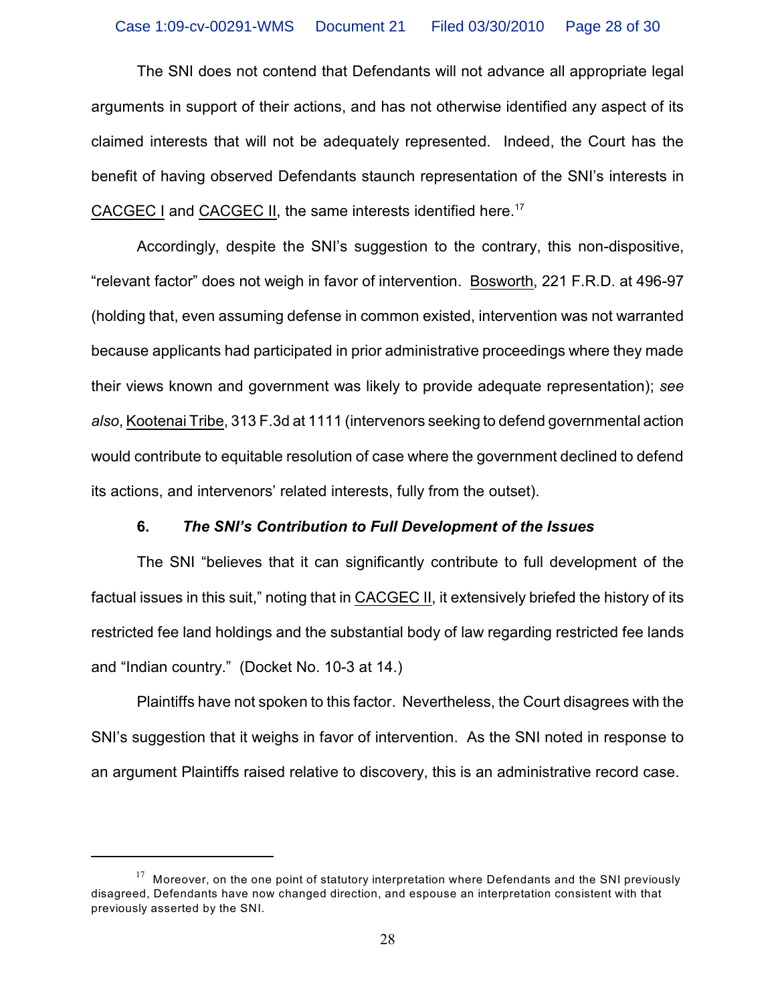The SNI does not contend that Defendants will not advance all appropriate legal arguments in support of their actions, and has not otherwise identified any aspect of its claimed interests that will not be adequately represented. Indeed, the Court has the benefit of having observed Defendants staunch representation of the SNI's interests in CACGEC I and CACGEC II, the same interests identified here.<sup>17</sup>

Accordingly, despite the SNI's suggestion to the contrary, this non-dispositive, "relevant factor" does not weigh in favor of intervention. Bosworth, 221 F.R.D. at 496-97 (holding that, even assuming defense in common existed, intervention was not warranted because applicants had participated in prior administrative proceedings where they made their views known and government was likely to provide adequate representation); *see also*, Kootenai Tribe, 313 F.3d at 1111 (intervenors seeking to defend governmental action would contribute to equitable resolution of case where the government declined to defend its actions, and intervenors' related interests, fully from the outset).

## **6.** *The SNI's Contribution to Full Development of the Issues*

The SNI "believes that it can significantly contribute to full development of the factual issues in this suit," noting that in CACGEC II, it extensively briefed the history of its restricted fee land holdings and the substantial body of law regarding restricted fee lands and "Indian country." (Docket No. 10-3 at 14.)

Plaintiffs have not spoken to this factor. Nevertheless, the Court disagrees with the SNI's suggestion that it weighs in favor of intervention. As the SNI noted in response to an argument Plaintiffs raised relative to discovery, this is an administrative record case.

 $17$  Moreover, on the one point of statutory interpretation where Defendants and the SNI previously disagreed, Defendants have now changed direction, and espouse an interpretation consistent with that previously asserted by the SNI.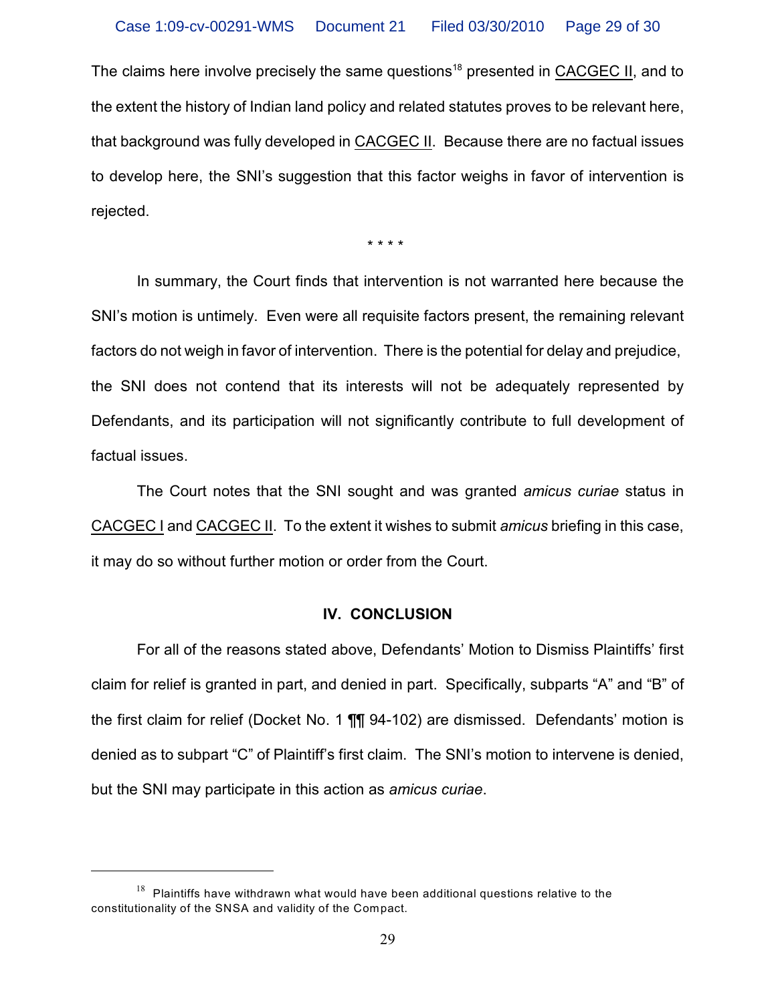The claims here involve precisely the same questions<sup>18</sup> presented in CACGEC II, and to the extent the history of Indian land policy and related statutes proves to be relevant here, that background was fully developed in CACGEC II. Because there are no factual issues to develop here, the SNI's suggestion that this factor weighs in favor of intervention is rejected.

\* \* \* \*

In summary, the Court finds that intervention is not warranted here because the SNI's motion is untimely. Even were all requisite factors present, the remaining relevant factors do not weigh in favor of intervention. There is the potential for delay and prejudice, the SNI does not contend that its interests will not be adequately represented by Defendants, and its participation will not significantly contribute to full development of factual issues.

The Court notes that the SNI sought and was granted *amicus curiae* status in CACGEC I and CACGEC II. To the extent it wishes to submit *amicus* briefing in this case, it may do so without further motion or order from the Court.

### **IV. CONCLUSION**

For all of the reasons stated above, Defendants' Motion to Dismiss Plaintiffs' first claim for relief is granted in part, and denied in part. Specifically, subparts "A" and "B" of the first claim for relief (Docket No. 1 ¶¶ 94-102) are dismissed. Defendants' motion is denied as to subpart "C" of Plaintiff's first claim. The SNI's motion to intervene is denied, but the SNI may participate in this action as *amicus curiae*.

 $18$  Plaintiffs have withdrawn what would have been additional questions relative to the constitutionality of the SNSA and validity of the Compact.